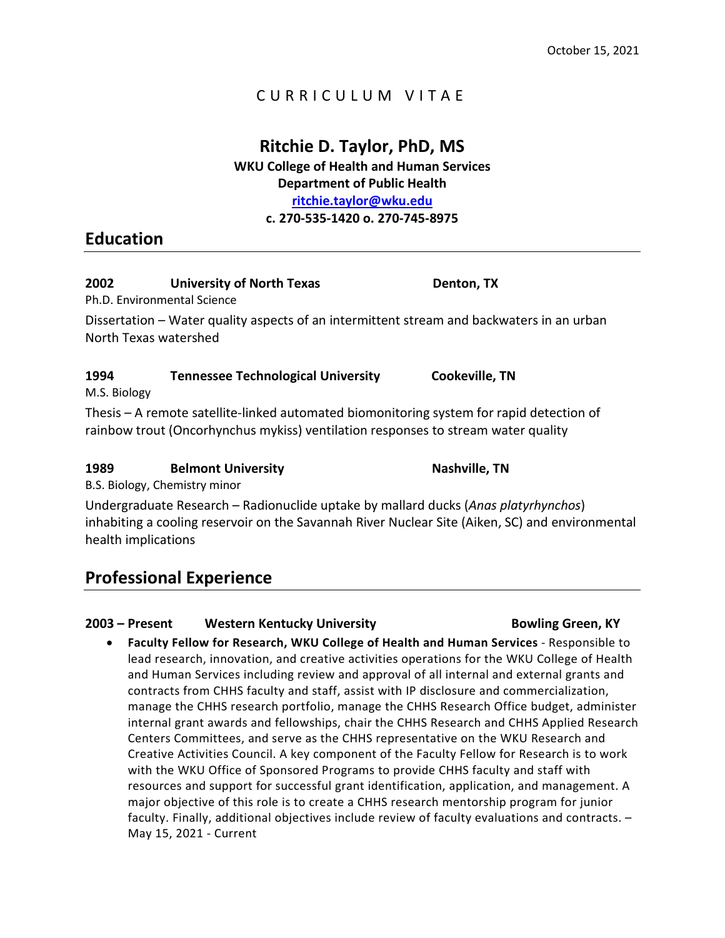## CURRICULUM VITAE

# **Ritchie D. Taylor, PhD, MS**

**WKU College of Health and Human Services Department of Public Health [ritchie.taylor@wku.edu](mailto:ritchiedtaylor@gmail.com) c. 270-535-1420 o. 270-745-8975**

**Education**

## **2002 University of North Texas Denton, TX**

Ph.D. Environmental Science

Dissertation – Water quality aspects of an intermittent stream and backwaters in an urban North Texas watershed

## **1994 Tennessee Technological University Cookeville, TN**

M.S. Biology

Thesis – A remote satellite-linked automated biomonitoring system for rapid detection of rainbow trout (Oncorhynchus mykiss) ventilation responses to stream water quality

## **1989 Belmont University CONSUMER TO A RESP. Nashville, TN**

B.S. Biology, Chemistry minor

Undergraduate Research – Radionuclide uptake by mallard ducks (*Anas platyrhynchos*) inhabiting a cooling reservoir on the Savannah River Nuclear Site (Aiken, SC) and environmental health implications

# **Professional Experience**

## **2003 – Present Western Kentucky University Bowling Green, KY**

- 
- **Faculty Fellow for Research, WKU College of Health and Human Services** Responsible to lead research, innovation, and creative activities operations for the WKU College of Health and Human Services including review and approval of all internal and external grants and contracts from CHHS faculty and staff, assist with IP disclosure and commercialization, manage the CHHS research portfolio, manage the CHHS Research Office budget, administer internal grant awards and fellowships, chair the CHHS Research and CHHS Applied Research Centers Committees, and serve as the CHHS representative on the WKU Research and Creative Activities Council. A key component of the Faculty Fellow for Research is to work with the WKU Office of Sponsored Programs to provide CHHS faculty and staff with resources and support for successful grant identification, application, and management. A major objective of this role is to create a CHHS research mentorship program for junior faculty. Finally, additional objectives include review of faculty evaluations and contracts. – May 15, 2021 - Current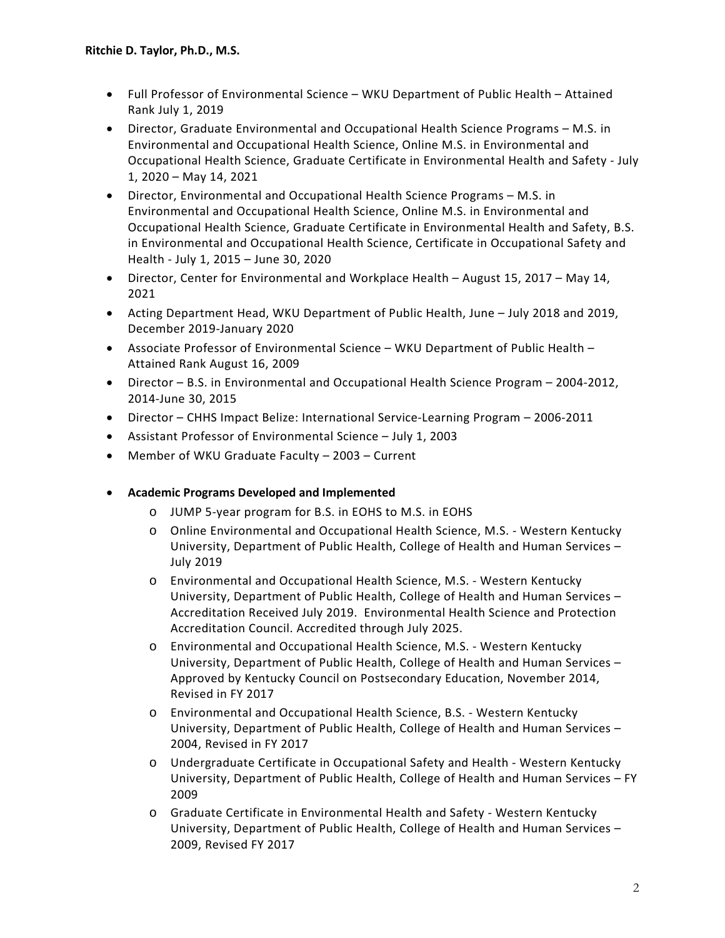- Full Professor of Environmental Science WKU Department of Public Health Attained Rank July 1, 2019
- Director, Graduate Environmental and Occupational Health Science Programs M.S. in Environmental and Occupational Health Science, Online M.S. in Environmental and Occupational Health Science, Graduate Certificate in Environmental Health and Safety - July 1, 2020 – May 14, 2021
- Director, Environmental and Occupational Health Science Programs M.S. in Environmental and Occupational Health Science, Online M.S. in Environmental and Occupational Health Science, Graduate Certificate in Environmental Health and Safety, B.S. in Environmental and Occupational Health Science, Certificate in Occupational Safety and Health - July 1, 2015 – June 30, 2020
- Director, Center for Environmental and Workplace Health August 15, 2017 May 14, 2021
- Acting Department Head, WKU Department of Public Health, June July 2018 and 2019, December 2019-January 2020
- Associate Professor of Environmental Science WKU Department of Public Health Attained Rank August 16, 2009
- Director B.S. in Environmental and Occupational Health Science Program 2004-2012, 2014-June 30, 2015
- Director CHHS Impact Belize: International Service-Learning Program 2006-2011
- Assistant Professor of Environmental Science July 1, 2003
- Member of WKU Graduate Faculty 2003 Current

#### • **Academic Programs Developed and Implemented**

- o JUMP 5-year program for B.S. in EOHS to M.S. in EOHS
- o Online Environmental and Occupational Health Science, M.S. Western Kentucky University, Department of Public Health, College of Health and Human Services – July 2019
- o Environmental and Occupational Health Science, M.S. Western Kentucky University, Department of Public Health, College of Health and Human Services – Accreditation Received July 2019. Environmental Health Science and Protection Accreditation Council. Accredited through July 2025.
- o Environmental and Occupational Health Science, M.S. Western Kentucky University, Department of Public Health, College of Health and Human Services – Approved by Kentucky Council on Postsecondary Education, November 2014, Revised in FY 2017
- o Environmental and Occupational Health Science, B.S. Western Kentucky University, Department of Public Health, College of Health and Human Services – 2004, Revised in FY 2017
- o Undergraduate Certificate in Occupational Safety and Health Western Kentucky University, Department of Public Health, College of Health and Human Services – FY 2009
- o Graduate Certificate in Environmental Health and Safety Western Kentucky University, Department of Public Health, College of Health and Human Services – 2009, Revised FY 2017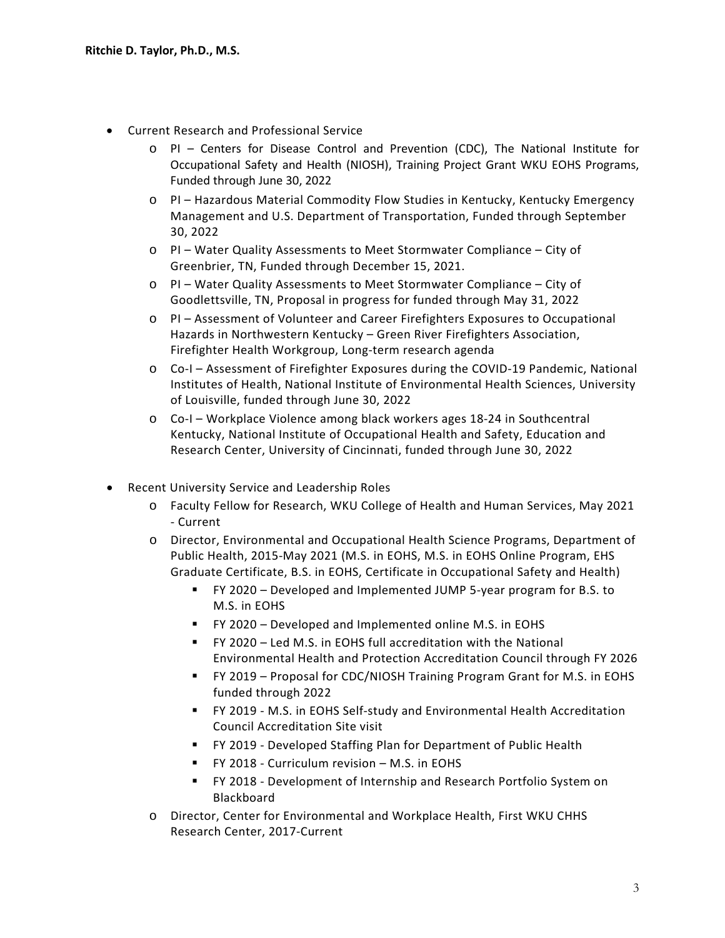- Current Research and Professional Service
	- o PI Centers for Disease Control and Prevention (CDC), The National Institute for Occupational Safety and Health (NIOSH), Training Project Grant WKU EOHS Programs, Funded through June 30, 2022
	- o PI Hazardous Material Commodity Flow Studies in Kentucky, Kentucky Emergency Management and U.S. Department of Transportation, Funded through September 30, 2022
	- o PI Water Quality Assessments to Meet Stormwater Compliance City of Greenbrier, TN, Funded through December 15, 2021.
	- o PI Water Quality Assessments to Meet Stormwater Compliance City of Goodlettsville, TN, Proposal in progress for funded through May 31, 2022
	- o PI Assessment of Volunteer and Career Firefighters Exposures to Occupational Hazards in Northwestern Kentucky – Green River Firefighters Association, Firefighter Health Workgroup, Long-term research agenda
	- o Co-I Assessment of Firefighter Exposures during the COVID-19 Pandemic, National Institutes of Health, National Institute of Environmental Health Sciences, University of Louisville, funded through June 30, 2022
	- o Co-I Workplace Violence among black workers ages 18-24 in Southcentral Kentucky, National Institute of Occupational Health and Safety, Education and Research Center, University of Cincinnati, funded through June 30, 2022
- Recent University Service and Leadership Roles
	- o Faculty Fellow for Research, WKU College of Health and Human Services, May 2021 - Current
	- o Director, Environmental and Occupational Health Science Programs, Department of Public Health, 2015-May 2021 (M.S. in EOHS, M.S. in EOHS Online Program, EHS Graduate Certificate, B.S. in EOHS, Certificate in Occupational Safety and Health)
		- FY 2020 Developed and Implemented JUMP 5-year program for B.S. to M.S. in EOHS
		- FY 2020 Developed and Implemented online M.S. in EOHS
		- FY 2020 Led M.S. in EOHS full accreditation with the National Environmental Health and Protection Accreditation Council through FY 2026
		- FY 2019 Proposal for CDC/NIOSH Training Program Grant for M.S. in EOHS funded through 2022
		- FY 2019 M.S. in EOHS Self-study and Environmental Health Accreditation Council Accreditation Site visit
		- FY 2019 Developed Staffing Plan for Department of Public Health
		- FY 2018 Curriculum revision M.S. in EOHS
		- FY 2018 Development of Internship and Research Portfolio System on Blackboard
	- o Director, Center for Environmental and Workplace Health, First WKU CHHS Research Center, 2017-Current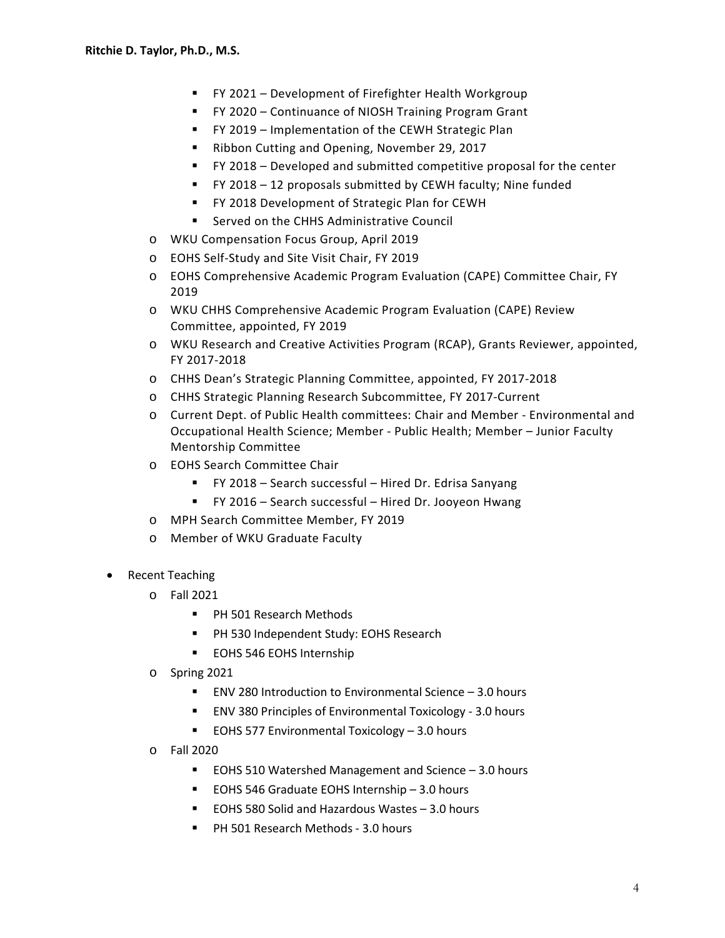- FY 2021 Development of Firefighter Health Workgroup
- FY 2020 Continuance of NIOSH Training Program Grant
- FY 2019 Implementation of the CEWH Strategic Plan
- Ribbon Cutting and Opening, November 29, 2017
- FY 2018 Developed and submitted competitive proposal for the center
- FY 2018 12 proposals submitted by CEWH faculty; Nine funded
- FY 2018 Development of Strategic Plan for CEWH
- **EXECUTE: Served on the CHHS Administrative Council**
- o WKU Compensation Focus Group, April 2019
- o EOHS Self-Study and Site Visit Chair, FY 2019
- o EOHS Comprehensive Academic Program Evaluation (CAPE) Committee Chair, FY 2019
- o WKU CHHS Comprehensive Academic Program Evaluation (CAPE) Review Committee, appointed, FY 2019
- o WKU Research and Creative Activities Program (RCAP), Grants Reviewer, appointed, FY 2017-2018
- o CHHS Dean's Strategic Planning Committee, appointed, FY 2017-2018
- o CHHS Strategic Planning Research Subcommittee, FY 2017-Current
- o Current Dept. of Public Health committees: Chair and Member Environmental and Occupational Health Science; Member - Public Health; Member – Junior Faculty Mentorship Committee
- o EOHS Search Committee Chair
	- FY 2018 Search successful Hired Dr. Edrisa Sanyang
	- FY 2016 Search successful Hired Dr. Jooyeon Hwang
- o MPH Search Committee Member, FY 2019
- o Member of WKU Graduate Faculty
- Recent Teaching
	- o Fall 2021
		- PH 501 Research Methods
		- **PH 530 Independent Study: EOHS Research**
		- **EOHS 546 EOHS Internship**
	- o Spring 2021
		- ENV 280 Introduction to Environmental Science 3.0 hours
		- ENV 380 Principles of Environmental Toxicology 3.0 hours
		- EOHS 577 Environmental Toxicology 3.0 hours
	- o Fall 2020
		- EOHS 510 Watershed Management and Science 3.0 hours
		- EOHS 546 Graduate EOHS Internship 3.0 hours
		- EOHS 580 Solid and Hazardous Wastes 3.0 hours
		- PH 501 Research Methods 3.0 hours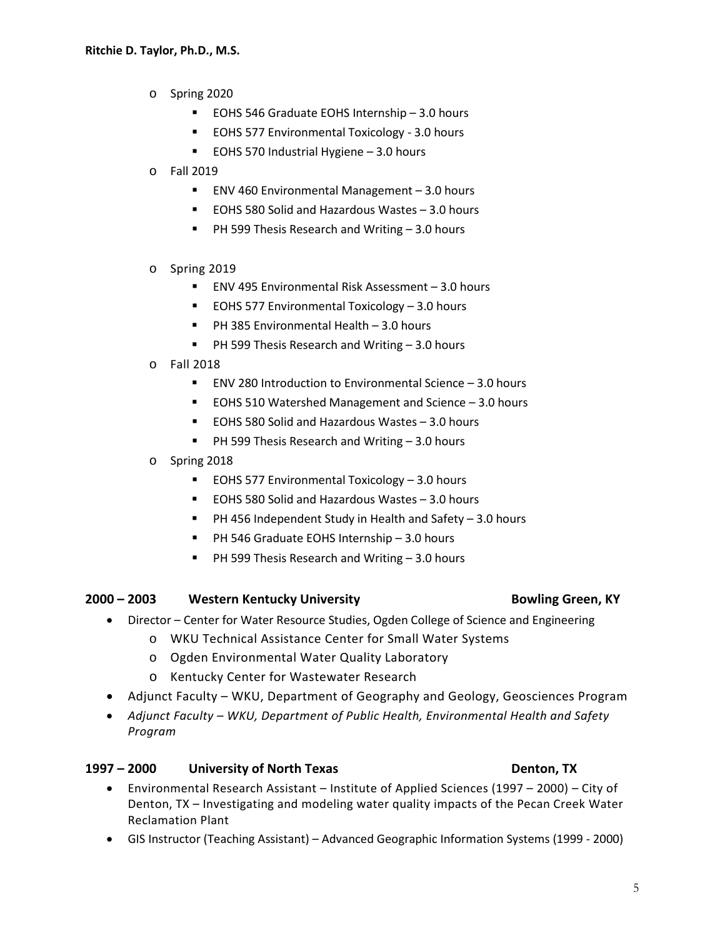- o Spring 2020
	- EOHS 546 Graduate EOHS Internship 3.0 hours
	- EOHS 577 Environmental Toxicology 3.0 hours
	- EOHS 570 Industrial Hygiene 3.0 hours
- o Fall 2019
	- **ENV 460 Environmental Management 3.0 hours**
	- EOHS 580 Solid and Hazardous Wastes 3.0 hours
	- PH 599 Thesis Research and Writing 3.0 hours
- o Spring 2019
	- ENV 495 Environmental Risk Assessment 3.0 hours
	- EOHS 577 Environmental Toxicology 3.0 hours
	- $\blacksquare$  PH 385 Environmental Health 3.0 hours
	- PH 599 Thesis Research and Writing 3.0 hours
- o Fall 2018
	- ENV 280 Introduction to Environmental Science 3.0 hours
	- EOHS 510 Watershed Management and Science 3.0 hours
	- EOHS 580 Solid and Hazardous Wastes 3.0 hours
	- $\blacksquare$  PH 599 Thesis Research and Writing  $-3.0$  hours
- o Spring 2018
	- EOHS 577 Environmental Toxicology 3.0 hours
	- EOHS 580 Solid and Hazardous Wastes 3.0 hours
	- PH 456 Independent Study in Health and Safety 3.0 hours
	- **PH 546 Graduate EOHS Internship 3.0 hours**
	- $\blacksquare$  PH 599 Thesis Research and Writing  $-3.0$  hours

#### **2000 – 2003 Western Kentucky University Bowling Green, KY**

- Director Center for Water Resource Studies, Ogden College of Science and Engineering
	- o WKU Technical Assistance Center for Small Water Systems
	- o Ogden Environmental Water Quality Laboratory
	- o Kentucky Center for Wastewater Research
- Adjunct Faculty WKU, Department of Geography and Geology, Geosciences Program
- *Adjunct Faculty – WKU, Department of Public Health, Environmental Health and Safety Program*

#### **1997 – 2000 University of North Texas Denton, TX**

- Environmental Research Assistant Institute of Applied Sciences (1997 2000) City of Denton, TX – Investigating and modeling water quality impacts of the Pecan Creek Water Reclamation Plant
- GIS Instructor (Teaching Assistant) Advanced Geographic Information Systems (1999 2000)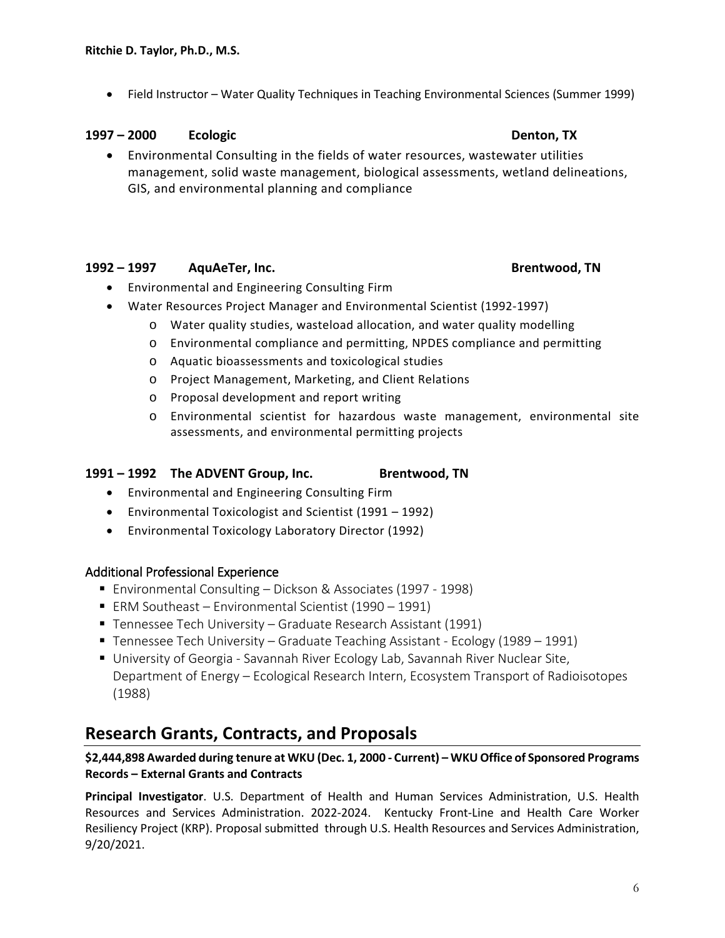• Field Instructor – Water Quality Techniques in Teaching Environmental Sciences (Summer 1999)

## **1997 – 2000 Ecologic Denton, TX**

• Environmental Consulting in the fields of water resources, wastewater utilities management, solid waste management, biological assessments, wetland delineations, GIS, and environmental planning and compliance

## **1992 – 1997 AquAeTer, Inc. Brentwood, TN**

- Environmental and Engineering Consulting Firm
- Water Resources Project Manager and Environmental Scientist (1992-1997)
	- o Water quality studies, wasteload allocation, and water quality modelling
	- o Environmental compliance and permitting, NPDES compliance and permitting
	- o Aquatic bioassessments and toxicological studies
	- o Project Management, Marketing, and Client Relations
	- o Proposal development and report writing
	- o Environmental scientist for hazardous waste management, environmental site assessments, and environmental permitting projects

## **1991 – 1992 The ADVENT Group, Inc. Brentwood, TN**

- Environmental and Engineering Consulting Firm
- Environmental Toxicologist and Scientist (1991 1992)
- Environmental Toxicology Laboratory Director (1992)

## Additional Professional Experience

- Environmental Consulting Dickson & Associates (1997 1998)
- ERM Southeast Environmental Scientist (1990 1991)
- Tennessee Tech University Graduate Research Assistant (1991)
- Tennessee Tech University Graduate Teaching Assistant Ecology (1989 1991)
- University of Georgia Savannah River Ecology Lab, Savannah River Nuclear Site, Department of Energy – Ecological Research Intern, Ecosystem Transport of Radioisotopes (1988)

# **Research Grants, Contracts, and Proposals**

## **\$2,444,898 Awarded during tenure at WKU (Dec. 1, 2000 - Current) – WKU Office of Sponsored Programs Records – External Grants and Contracts**

**Principal Investigator**. U.S. Department of Health and Human Services Administration, U.S. Health Resources and Services Administration. 2022-2024. Kentucky Front-Line and Health Care Worker Resiliency Project (KRP). Proposal submitted through U.S. Health Resources and Services Administration, 9/20/2021.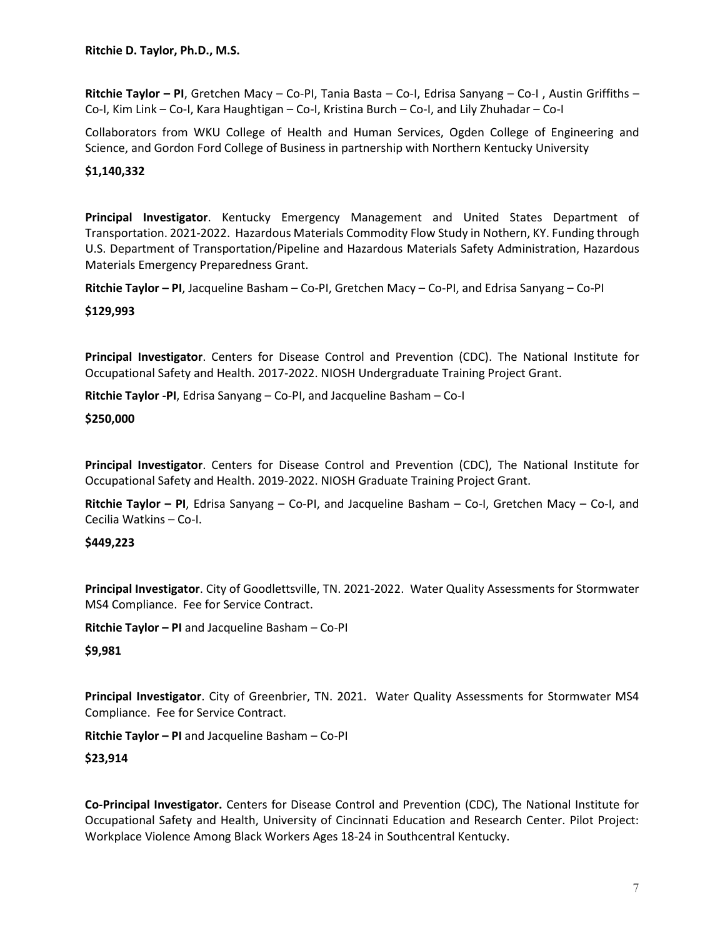**Ritchie Taylor – PI**, Gretchen Macy – Co-PI, Tania Basta – Co-I, Edrisa Sanyang – Co-I , Austin Griffiths – Co-I, Kim Link – Co-I, Kara Haughtigan – Co-I, Kristina Burch – Co-I, and Lily Zhuhadar – Co-I

Collaborators from WKU College of Health and Human Services, Ogden College of Engineering and Science, and Gordon Ford College of Business in partnership with Northern Kentucky University

#### **\$1,140,332**

**Principal Investigator**. Kentucky Emergency Management and United States Department of Transportation. 2021-2022. Hazardous Materials Commodity Flow Study in Nothern, KY. Funding through U.S. Department of Transportation/Pipeline and Hazardous Materials Safety Administration, Hazardous Materials Emergency Preparedness Grant.

**Ritchie Taylor – PI**, Jacqueline Basham – Co-PI, Gretchen Macy – Co-PI, and Edrisa Sanyang – Co-PI

#### **\$129,993**

**Principal Investigator**. Centers for Disease Control and Prevention (CDC). The National Institute for Occupational Safety and Health. 2017-2022. NIOSH Undergraduate Training Project Grant.

**Ritchie Taylor -PI**, Edrisa Sanyang – Co-PI, and Jacqueline Basham – Co-I

#### **\$250,000**

**Principal Investigator**. Centers for Disease Control and Prevention (CDC), The National Institute for Occupational Safety and Health. 2019-2022. NIOSH Graduate Training Project Grant.

**Ritchie Taylor – PI**, Edrisa Sanyang – Co-PI, and Jacqueline Basham – Co-I, Gretchen Macy – Co-I, and Cecilia Watkins – Co-I.

#### **\$449,223**

**Principal Investigator**. City of Goodlettsville, TN. 2021-2022. Water Quality Assessments for Stormwater MS4 Compliance. Fee for Service Contract.

**Ritchie Taylor – PI** and Jacqueline Basham – Co-PI

#### **\$9,981**

**Principal Investigator**. City of Greenbrier, TN. 2021. Water Quality Assessments for Stormwater MS4 Compliance. Fee for Service Contract.

**Ritchie Taylor – PI** and Jacqueline Basham – Co-PI

#### **\$23,914**

**Co-Principal Investigator.** Centers for Disease Control and Prevention (CDC), The National Institute for Occupational Safety and Health, University of Cincinnati Education and Research Center. Pilot Project: Workplace Violence Among Black Workers Ages 18-24 in Southcentral Kentucky.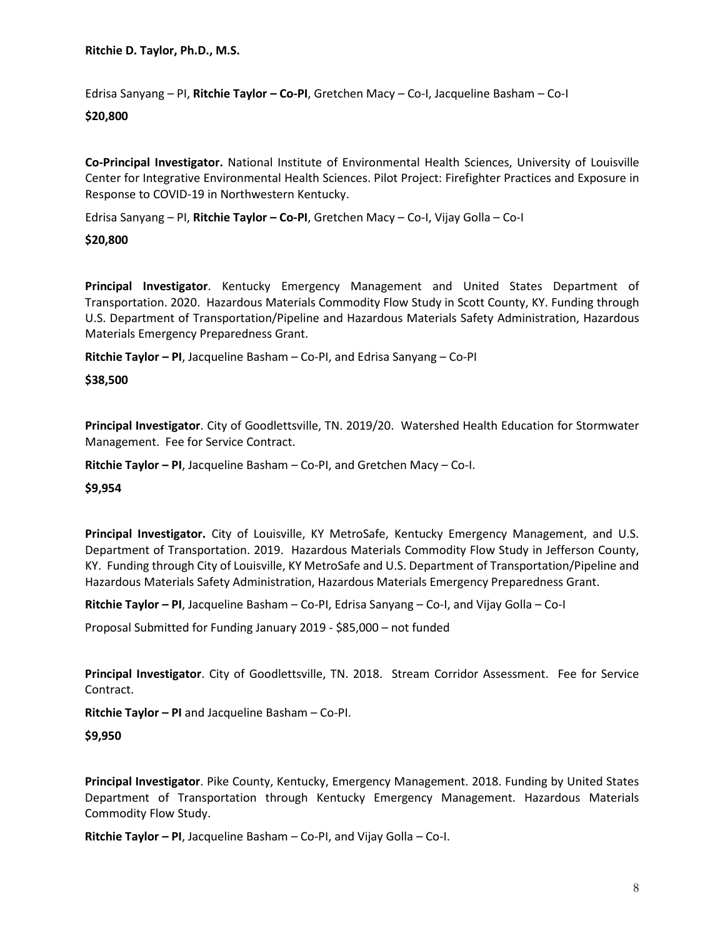**Ritchie D. Taylor, Ph.D., M.S.**

Edrisa Sanyang – PI, **Ritchie Taylor – Co-PI**, Gretchen Macy – Co-I, Jacqueline Basham – Co-I

**\$20,800**

**Co-Principal Investigator.** National Institute of Environmental Health Sciences, University of Louisville Center for Integrative Environmental Health Sciences. Pilot Project: Firefighter Practices and Exposure in Response to COVID-19 in Northwestern Kentucky.

Edrisa Sanyang – PI, **Ritchie Taylor – Co-PI**, Gretchen Macy – Co-I, Vijay Golla – Co-I

**\$20,800**

**Principal Investigator**. Kentucky Emergency Management and United States Department of Transportation. 2020. Hazardous Materials Commodity Flow Study in Scott County, KY. Funding through U.S. Department of Transportation/Pipeline and Hazardous Materials Safety Administration, Hazardous Materials Emergency Preparedness Grant.

**Ritchie Taylor – PI**, Jacqueline Basham – Co-PI, and Edrisa Sanyang – Co-PI

**\$38,500**

**Principal Investigator**. City of Goodlettsville, TN. 2019/20. Watershed Health Education for Stormwater Management. Fee for Service Contract.

**Ritchie Taylor – PI**, Jacqueline Basham – Co-PI, and Gretchen Macy – Co-I.

**\$9,954**

**Principal Investigator.** City of Louisville, KY MetroSafe, Kentucky Emergency Management, and U.S. Department of Transportation. 2019. Hazardous Materials Commodity Flow Study in Jefferson County, KY. Funding through City of Louisville, KY MetroSafe and U.S. Department of Transportation/Pipeline and Hazardous Materials Safety Administration, Hazardous Materials Emergency Preparedness Grant.

**Ritchie Taylor – PI**, Jacqueline Basham – Co-PI, Edrisa Sanyang – Co-I, and Vijay Golla – Co-I

Proposal Submitted for Funding January 2019 - \$85,000 – not funded

**Principal Investigator**. City of Goodlettsville, TN. 2018. Stream Corridor Assessment. Fee for Service Contract.

**Ritchie Taylor – PI** and Jacqueline Basham – Co-PI.

**\$9,950**

**Principal Investigator**. Pike County, Kentucky, Emergency Management. 2018. Funding by United States Department of Transportation through Kentucky Emergency Management. Hazardous Materials Commodity Flow Study.

**Ritchie Taylor – PI**, Jacqueline Basham – Co-PI, and Vijay Golla – Co-I.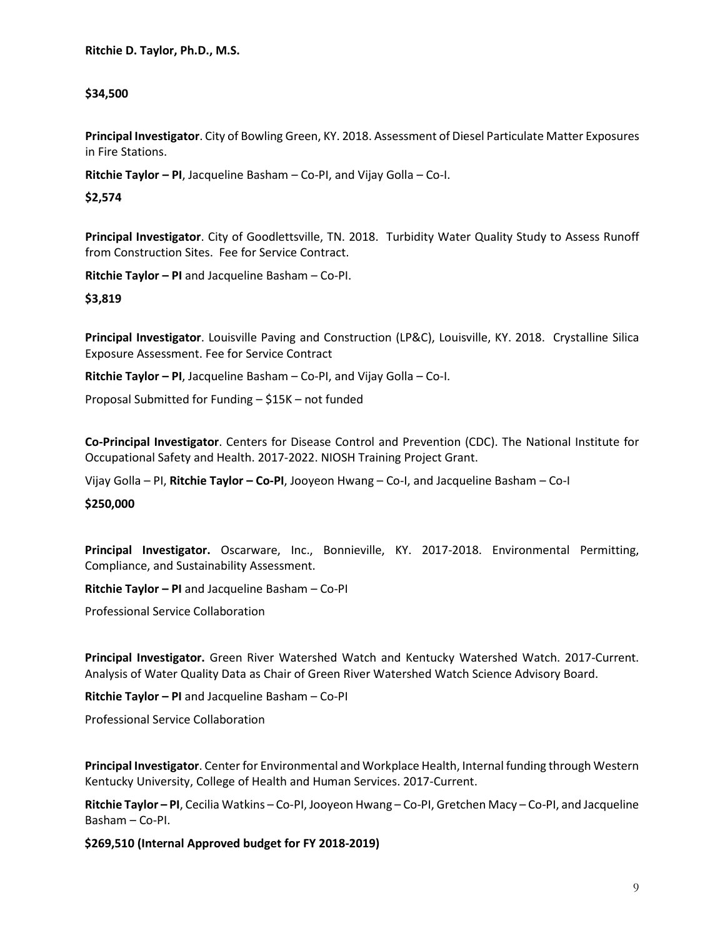#### **\$34,500**

**Principal Investigator**. City of Bowling Green, KY. 2018. Assessment of Diesel Particulate Matter Exposures in Fire Stations.

**Ritchie Taylor – PI**, Jacqueline Basham – Co-PI, and Vijay Golla – Co-I.

**\$2,574**

**Principal Investigator**. City of Goodlettsville, TN. 2018. Turbidity Water Quality Study to Assess Runoff from Construction Sites. Fee for Service Contract.

**Ritchie Taylor – PI** and Jacqueline Basham – Co-PI.

**\$3,819**

**Principal Investigator**. Louisville Paving and Construction (LP&C), Louisville, KY. 2018. Crystalline Silica Exposure Assessment. Fee for Service Contract

**Ritchie Taylor – PI**, Jacqueline Basham – Co-PI, and Vijay Golla – Co-I.

Proposal Submitted for Funding – \$15K – not funded

**Co-Principal Investigator**. Centers for Disease Control and Prevention (CDC). The National Institute for Occupational Safety and Health. 2017-2022. NIOSH Training Project Grant.

Vijay Golla – PI, **Ritchie Taylor – Co-PI**, Jooyeon Hwang – Co-I, and Jacqueline Basham – Co-I

**\$250,000**

**Principal Investigator.** Oscarware, Inc., Bonnieville, KY. 2017-2018. Environmental Permitting, Compliance, and Sustainability Assessment.

**Ritchie Taylor – PI** and Jacqueline Basham – Co-PI

Professional Service Collaboration

**Principal Investigator.** Green River Watershed Watch and Kentucky Watershed Watch. 2017-Current. Analysis of Water Quality Data as Chair of Green River Watershed Watch Science Advisory Board.

**Ritchie Taylor – PI** and Jacqueline Basham – Co-PI

Professional Service Collaboration

**Principal Investigator**. Center for Environmental and Workplace Health, Internal funding through Western Kentucky University, College of Health and Human Services. 2017-Current.

**Ritchie Taylor – PI**, Cecilia Watkins – Co-PI, Jooyeon Hwang – Co-PI, Gretchen Macy – Co-PI, and Jacqueline Basham – Co-PI.

**\$269,510 (Internal Approved budget for FY 2018-2019)**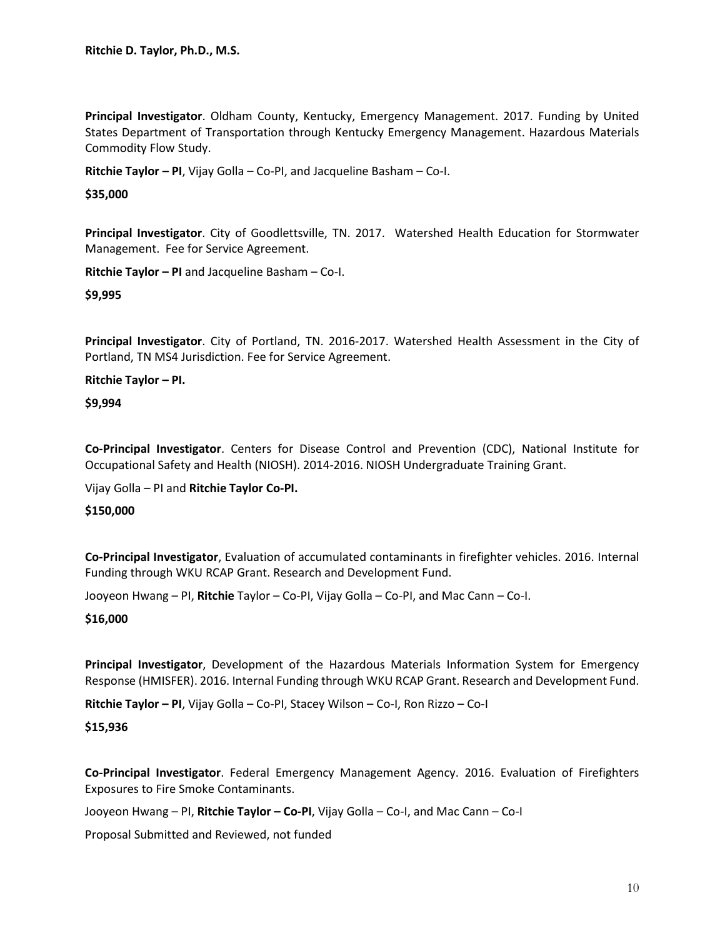**Principal Investigator**. Oldham County, Kentucky, Emergency Management. 2017. Funding by United States Department of Transportation through Kentucky Emergency Management. Hazardous Materials Commodity Flow Study.

**Ritchie Taylor – PI**, Vijay Golla – Co-PI, and Jacqueline Basham – Co-I.

**\$35,000**

**Principal Investigator**. City of Goodlettsville, TN. 2017. Watershed Health Education for Stormwater Management. Fee for Service Agreement.

**Ritchie Taylor – PI** and Jacqueline Basham – Co-I.

**\$9,995**

**Principal Investigator**. City of Portland, TN. 2016-2017. Watershed Health Assessment in the City of Portland, TN MS4 Jurisdiction. Fee for Service Agreement.

**Ritchie Taylor – PI.**

**\$9,994**

**Co-Principal Investigator**. Centers for Disease Control and Prevention (CDC), National Institute for Occupational Safety and Health (NIOSH). 2014-2016. NIOSH Undergraduate Training Grant.

Vijay Golla – PI and **Ritchie Taylor Co-PI.**

**\$150,000**

**Co-Principal Investigator**, Evaluation of accumulated contaminants in firefighter vehicles. 2016. Internal Funding through WKU RCAP Grant. Research and Development Fund.

Jooyeon Hwang – PI, **Ritchie** Taylor – Co-PI, Vijay Golla – Co-PI, and Mac Cann – Co-I.

#### **\$16,000**

**Principal Investigator**, Development of the Hazardous Materials Information System for Emergency Response (HMISFER). 2016. Internal Funding through WKU RCAP Grant. Research and Development Fund.

**Ritchie Taylor – PI**, Vijay Golla – Co-PI, Stacey Wilson – Co-I, Ron Rizzo – Co-I

#### **\$15,936**

**Co-Principal Investigator**. Federal Emergency Management Agency. 2016. Evaluation of Firefighters Exposures to Fire Smoke Contaminants.

Jooyeon Hwang – PI, **Ritchie Taylor – Co-PI**, Vijay Golla – Co-I, and Mac Cann – Co-I

Proposal Submitted and Reviewed, not funded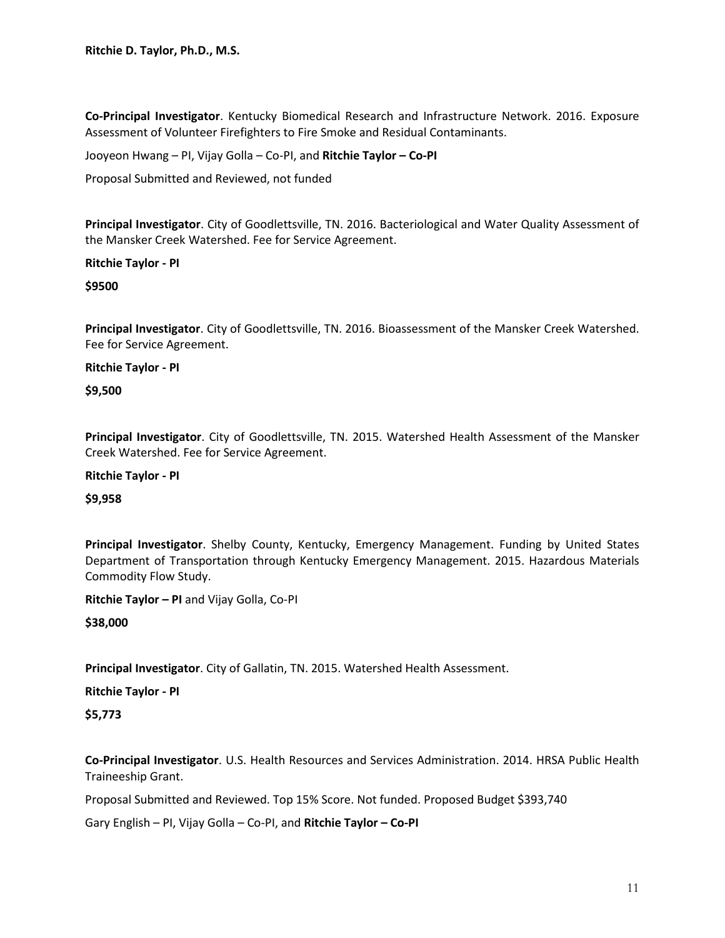**Co-Principal Investigator**. Kentucky Biomedical Research and Infrastructure Network. 2016. Exposure Assessment of Volunteer Firefighters to Fire Smoke and Residual Contaminants.

Jooyeon Hwang – PI, Vijay Golla – Co-PI, and **Ritchie Taylor – Co-PI**

Proposal Submitted and Reviewed, not funded

**Principal Investigator**. City of Goodlettsville, TN. 2016. Bacteriological and Water Quality Assessment of the Mansker Creek Watershed. Fee for Service Agreement.

#### **Ritchie Taylor - PI**

#### **\$9500**

**Principal Investigator**. City of Goodlettsville, TN. 2016. Bioassessment of the Mansker Creek Watershed. Fee for Service Agreement.

**Ritchie Taylor - PI**

**\$9,500**

**Principal Investigator**. City of Goodlettsville, TN. 2015. Watershed Health Assessment of the Mansker Creek Watershed. Fee for Service Agreement.

**Ritchie Taylor - PI**

**\$9,958**

**Principal Investigator**. Shelby County, Kentucky, Emergency Management. Funding by United States Department of Transportation through Kentucky Emergency Management. 2015. Hazardous Materials Commodity Flow Study.

**Ritchie Taylor – PI** and Vijay Golla, Co-PI

**\$38,000** 

**Principal Investigator**. City of Gallatin, TN. 2015. Watershed Health Assessment.

**Ritchie Taylor - PI**

**\$5,773**

**Co-Principal Investigator**. U.S. Health Resources and Services Administration. 2014. HRSA Public Health Traineeship Grant.

Proposal Submitted and Reviewed. Top 15% Score. Not funded. Proposed Budget \$393,740

Gary English – PI, Vijay Golla – Co-PI, and **Ritchie Taylor – Co-PI**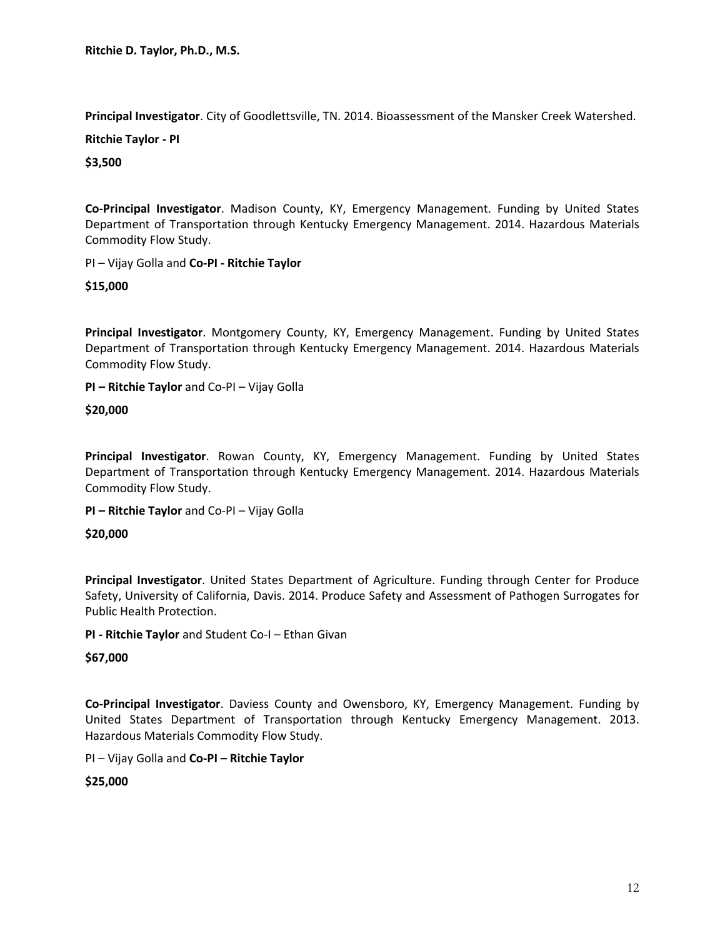**Principal Investigator**. City of Goodlettsville, TN. 2014. Bioassessment of the Mansker Creek Watershed.

**Ritchie Taylor - PI**

#### **\$3,500**

**Co-Principal Investigator**. Madison County, KY, Emergency Management. Funding by United States Department of Transportation through Kentucky Emergency Management. 2014. Hazardous Materials Commodity Flow Study.

PI – Vijay Golla and **Co-PI - Ritchie Taylor**

#### **\$15,000**

**Principal Investigator**. Montgomery County, KY, Emergency Management. Funding by United States Department of Transportation through Kentucky Emergency Management. 2014. Hazardous Materials Commodity Flow Study.

**PI – Ritchie Taylor** and Co-PI – Vijay Golla

**\$20,000**

**Principal Investigator**. Rowan County, KY, Emergency Management. Funding by United States Department of Transportation through Kentucky Emergency Management. 2014. Hazardous Materials Commodity Flow Study.

**PI – Ritchie Taylor** and Co-PI – Vijay Golla

#### **\$20,000**

**Principal Investigator**. United States Department of Agriculture. Funding through Center for Produce Safety, University of California, Davis. 2014. Produce Safety and Assessment of Pathogen Surrogates for Public Health Protection.

**PI - Ritchie Taylor** and Student Co-I – Ethan Givan

#### **\$67,000**

**Co-Principal Investigator**. Daviess County and Owensboro, KY, Emergency Management. Funding by United States Department of Transportation through Kentucky Emergency Management. 2013. Hazardous Materials Commodity Flow Study.

PI – Vijay Golla and **Co-PI – Ritchie Taylor**

### **\$25,000**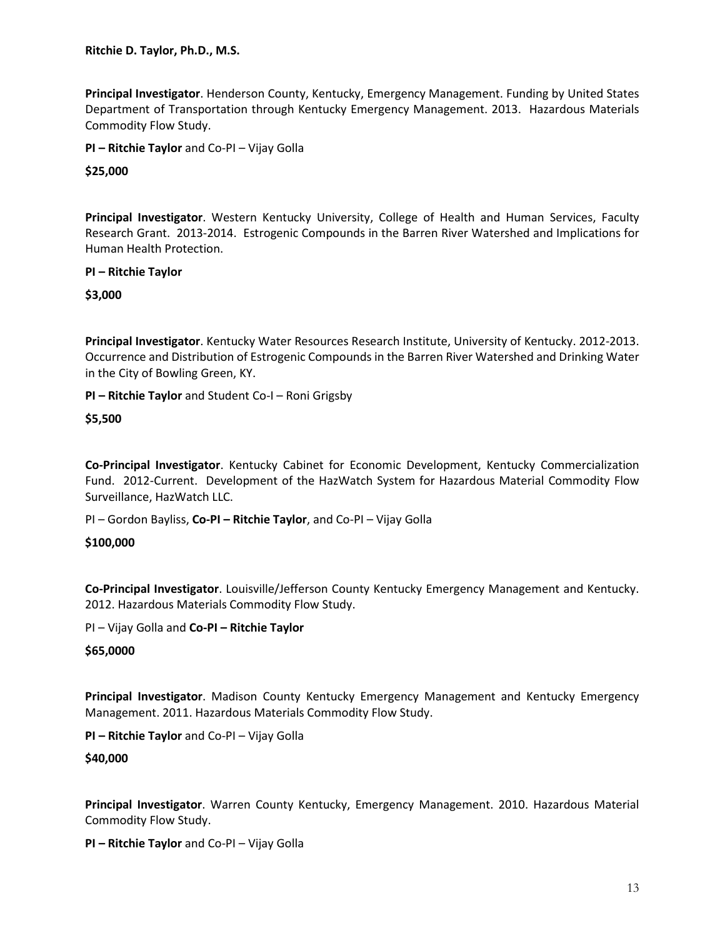**Principal Investigator**. Henderson County, Kentucky, Emergency Management. Funding by United States Department of Transportation through Kentucky Emergency Management. 2013. Hazardous Materials Commodity Flow Study.

**PI – Ritchie Taylor** and Co-PI – Vijay Golla

**\$25,000**

**Principal Investigator**. Western Kentucky University, College of Health and Human Services, Faculty Research Grant. 2013-2014. Estrogenic Compounds in the Barren River Watershed and Implications for Human Health Protection.

**PI – Ritchie Taylor**

**\$3,000**

**Principal Investigator**. Kentucky Water Resources Research Institute, University of Kentucky. 2012-2013. Occurrence and Distribution of Estrogenic Compounds in the Barren River Watershed and Drinking Water in the City of Bowling Green, KY.

**PI – Ritchie Taylor** and Student Co-I – Roni Grigsby

**\$5,500**

**Co-Principal Investigator**. Kentucky Cabinet for Economic Development, Kentucky Commercialization Fund. 2012-Current. Development of the HazWatch System for Hazardous Material Commodity Flow Surveillance, HazWatch LLC.

PI – Gordon Bayliss, **Co-PI – Ritchie Taylor**, and Co-PI – Vijay Golla

### **\$100,000**

**Co-Principal Investigator**. Louisville/Jefferson County Kentucky Emergency Management and Kentucky. 2012. Hazardous Materials Commodity Flow Study.

PI – Vijay Golla and **Co-PI – Ritchie Taylor**

**\$65,0000**

**Principal Investigator**. Madison County Kentucky Emergency Management and Kentucky Emergency Management. 2011. Hazardous Materials Commodity Flow Study.

**PI – Ritchie Taylor** and Co-PI – Vijay Golla

### **\$40,000**

**Principal Investigator**. Warren County Kentucky, Emergency Management. 2010. Hazardous Material Commodity Flow Study.

**PI – Ritchie Taylor** and Co-PI – Vijay Golla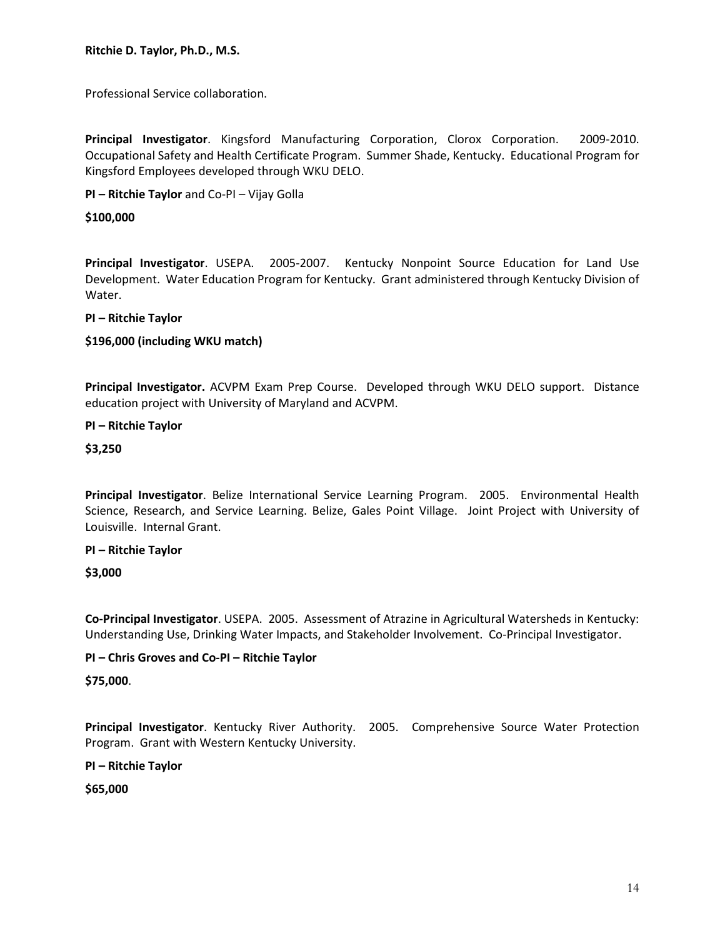Professional Service collaboration.

**Principal Investigator**. Kingsford Manufacturing Corporation, Clorox Corporation. 2009-2010. Occupational Safety and Health Certificate Program. Summer Shade, Kentucky. Educational Program for Kingsford Employees developed through WKU DELO.

**PI – Ritchie Taylor** and Co-PI – Vijay Golla

#### **\$100,000**

**Principal Investigator**. USEPA. 2005-2007. Kentucky Nonpoint Source Education for Land Use Development. Water Education Program for Kentucky. Grant administered through Kentucky Division of Water.

**PI – Ritchie Taylor**

**\$196,000 (including WKU match)**

**Principal Investigator.** ACVPM Exam Prep Course. Developed through WKU DELO support. Distance education project with University of Maryland and ACVPM.

**PI – Ritchie Taylor**

**\$3,250**

**Principal Investigator**. Belize International Service Learning Program. 2005. Environmental Health Science, Research, and Service Learning. Belize, Gales Point Village. Joint Project with University of Louisville. Internal Grant.

#### **PI – Ritchie Taylor**

**\$3,000** 

**Co-Principal Investigator**. USEPA. 2005. Assessment of Atrazine in Agricultural Watersheds in Kentucky: Understanding Use, Drinking Water Impacts, and Stakeholder Involvement. Co-Principal Investigator.

**PI – Chris Groves and Co-PI – Ritchie Taylor**

**\$75,000**.

**Principal Investigator**. Kentucky River Authority. 2005. Comprehensive Source Water Protection Program. Grant with Western Kentucky University.

**PI – Ritchie Taylor**

**\$65,000**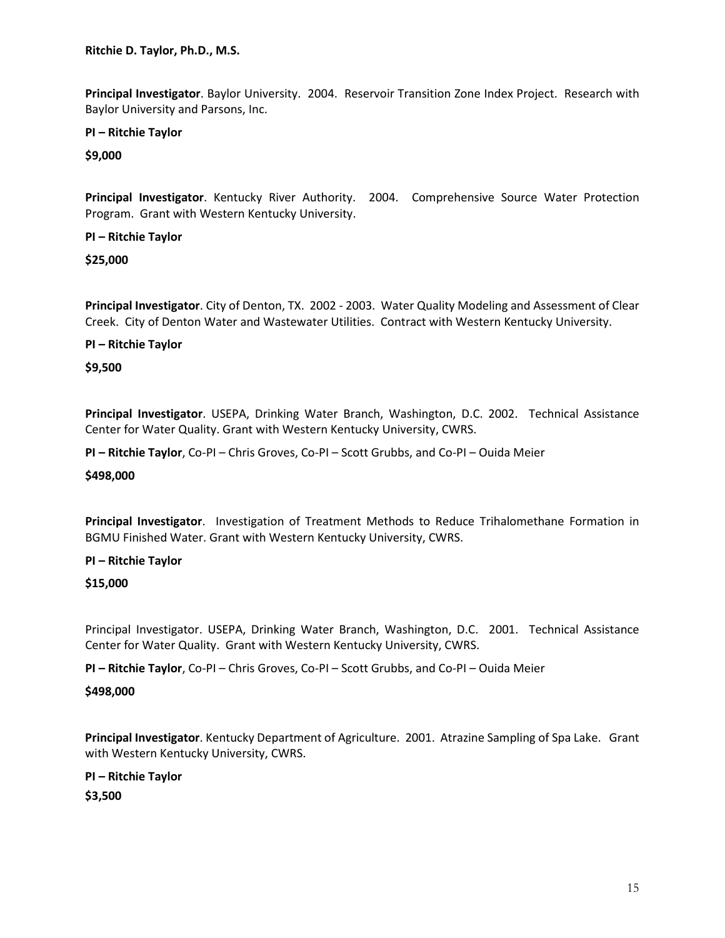**Principal Investigator**. Baylor University. 2004. Reservoir Transition Zone Index Project. Research with Baylor University and Parsons, Inc.

**PI – Ritchie Taylor**

**\$9,000**

**Principal Investigator**. Kentucky River Authority. 2004. Comprehensive Source Water Protection Program. Grant with Western Kentucky University.

**PI – Ritchie Taylor**

**\$25,000**

**Principal Investigator**. City of Denton, TX. 2002 - 2003. Water Quality Modeling and Assessment of Clear Creek. City of Denton Water and Wastewater Utilities. Contract with Western Kentucky University.

#### **PI – Ritchie Taylor**

**\$9,500**

**Principal Investigator**. USEPA, Drinking Water Branch, Washington, D.C. 2002. Technical Assistance Center for Water Quality. Grant with Western Kentucky University, CWRS.

**PI – Ritchie Taylor**, Co-PI – Chris Groves, Co-PI – Scott Grubbs, and Co-PI – Ouida Meier

#### **\$498,000**

**Principal Investigator**. Investigation of Treatment Methods to Reduce Trihalomethane Formation in BGMU Finished Water. Grant with Western Kentucky University, CWRS.

#### **PI – Ritchie Taylor**

#### **\$15,000**

Principal Investigator. USEPA, Drinking Water Branch, Washington, D.C. 2001. Technical Assistance Center for Water Quality. Grant with Western Kentucky University, CWRS.

**PI – Ritchie Taylor**, Co-PI – Chris Groves, Co-PI – Scott Grubbs, and Co-PI – Ouida Meier

#### **\$498,000**

**Principal Investigator**. Kentucky Department of Agriculture. 2001. Atrazine Sampling of Spa Lake. Grant with Western Kentucky University, CWRS.

**PI – Ritchie Taylor**

**\$3,500**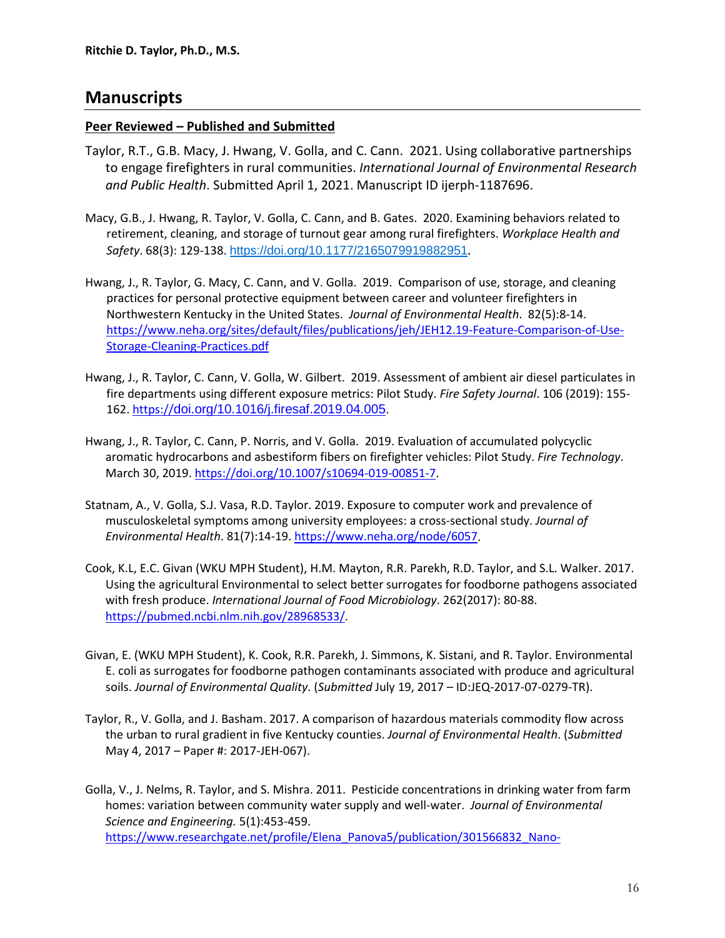## **Manuscripts**

#### **Peer Reviewed – Published and Submitted**

- Taylor, R.T., G.B. Macy, J. Hwang, V. Golla, and C. Cann. 2021. Using collaborative partnerships to engage firefighters in rural communities. *International Journal of Environmental Research and Public Health*. Submitted April 1, 2021. Manuscript ID ijerph-1187696.
- Macy, G.B., J. Hwang, R. Taylor, V. Golla, C. Cann, and B. Gates. 2020. Examining behaviors related to retirement, cleaning, and storage of turnout gear among rural firefighters. *Workplace Health and Safety*. 68(3): 129-138. <https://doi.org/10.1177/2165079919882951>.
- Hwang, J., R. Taylor, G. Macy, C. Cann, and V. Golla. 2019. Comparison of use, storage, and cleaning practices for personal protective equipment between career and volunteer firefighters in Northwestern Kentucky in the United States. *Journal of Environmental Health*. 82(5):8-14. [https://www.neha.org/sites/default/files/publications/jeh/JEH12.19-Feature-Comparison-of-Use-](https://www.neha.org/sites/default/files/publications/jeh/JEH12.19-Feature-Comparison-of-Use-Storage-Cleaning-Practices.pdf)[Storage-Cleaning-Practices.pdf](https://www.neha.org/sites/default/files/publications/jeh/JEH12.19-Feature-Comparison-of-Use-Storage-Cleaning-Practices.pdf)
- Hwang, J., R. Taylor, C. Cann, V. Golla, W. Gilbert. 2019. Assessment of ambient air diesel particulates in fire departments using different exposure metrics: Pilot Study. *Fire Safety Journal*. 106 (2019): 155- 162. https://[doi.org/10.1016/j.firesaf.2019.04.005.](https://doi.org/10.1016/j.firesaf.2019.04.005)
- Hwang, J., R. Taylor, C. Cann, P. Norris, and V. Golla. 2019. Evaluation of accumulated polycyclic aromatic hydrocarbons and asbestiform fibers on firefighter vehicles: Pilot Study. *Fire Technology*. March 30, 2019[. https://doi.org/10.1007/s10694-019-00851-7.](https://doi.org/10.1007/s10694-019-00851-7)
- Statnam, A., V. Golla, S.J. Vasa, R.D. Taylor. 2019. Exposure to computer work and prevalence of musculoskeletal symptoms among university employees: a cross-sectional study. *Journal of Environmental Health*. 81(7):14-19. [https://www.neha.org/node/6057.](https://www.neha.org/node/6057)
- Cook, K.L, E.C. Givan (WKU MPH Student), H.M. Mayton, R.R. Parekh, R.D. Taylor, and S.L. Walker. 2017. Using the agricultural Environmental to select better surrogates for foodborne pathogens associated with fresh produce. *International Journal of Food Microbiology*. 262(2017): 80-88. [https://pubmed.ncbi.nlm.nih.gov/28968533/.](https://pubmed.ncbi.nlm.nih.gov/28968533/)
- Givan, E. (WKU MPH Student), K. Cook, R.R. Parekh, J. Simmons, K. Sistani, and R. Taylor. Environmental E. coli as surrogates for foodborne pathogen contaminants associated with produce and agricultural soils. *Journal of Environmental Quality*. (*Submitted* July 19, 2017 – ID:JEQ-2017-07-0279-TR).
- Taylor, R., V. Golla, and J. Basham. 2017. A comparison of hazardous materials commodity flow across the urban to rural gradient in five Kentucky counties. *Journal of Environmental Health*. (*Submitted*  May 4, 2017 – Paper #: 2017-JEH-067).
- Golla, V., J. Nelms, R. Taylor, and S. Mishra. 2011. Pesticide concentrations in drinking water from farm homes: variation between community water supply and well-water. *Journal of Environmental Science and Engineering.* 5(1):453-459. [https://www.researchgate.net/profile/Elena\\_Panova5/publication/301566832\\_Nano-](https://www.researchgate.net/profile/Elena_Panova5/publication/301566832_Nano-elemental_Geochemistry_of_Black_Shales/links/5bffafce92851c63cab02536/Nano-elemental-Geochemistry-of-Black-Shales.pdf#page=14)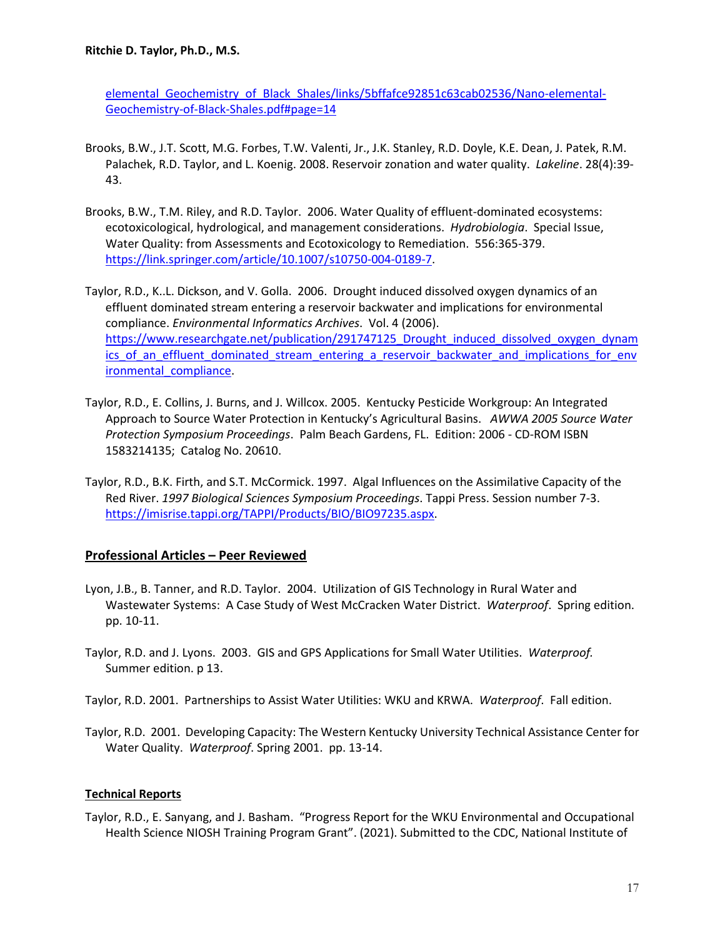[elemental\\_Geochemistry\\_of\\_Black\\_Shales/links/5bffafce92851c63cab02536/Nano-elemental-](https://www.researchgate.net/profile/Elena_Panova5/publication/301566832_Nano-elemental_Geochemistry_of_Black_Shales/links/5bffafce92851c63cab02536/Nano-elemental-Geochemistry-of-Black-Shales.pdf#page=14)[Geochemistry-of-Black-Shales.pdf#page=14](https://www.researchgate.net/profile/Elena_Panova5/publication/301566832_Nano-elemental_Geochemistry_of_Black_Shales/links/5bffafce92851c63cab02536/Nano-elemental-Geochemistry-of-Black-Shales.pdf#page=14)

- Brooks, B.W., J.T. Scott, M.G. Forbes, T.W. Valenti, Jr., J.K. Stanley, R.D. Doyle, K.E. Dean, J. Patek, R.M. Palachek, R.D. Taylor, and L. Koenig. 2008. Reservoir zonation and water quality. *Lakeline*. 28(4):39- 43.
- Brooks, B.W., T.M. Riley, and R.D. Taylor. 2006. Water Quality of effluent-dominated ecosystems: ecotoxicological, hydrological, and management considerations. *Hydrobiologia*. Special Issue, Water Quality: from Assessments and Ecotoxicology to Remediation. 556:365-379. [https://link.springer.com/article/10.1007/s10750-004-0189-7.](https://link.springer.com/article/10.1007/s10750-004-0189-7)

Taylor, R.D., K..L. Dickson, and V. Golla. 2006. Drought induced dissolved oxygen dynamics of an effluent dominated stream entering a reservoir backwater and implications for environmental compliance. *Environmental Informatics Archives*. Vol. 4 (2006). https://www.researchgate.net/publication/291747125 Drought\_induced\_dissolved\_oxygen\_dynam ics of an effluent dominated stream entering a reservoir backwater and implications for env [ironmental\\_compliance.](https://www.researchgate.net/publication/291747125_Drought_induced_dissolved_oxygen_dynamics_of_an_effluent_dominated_stream_entering_a_reservoir_backwater_and_implications_for_environmental_compliance)

- Taylor, R.D., E. Collins, J. Burns, and J. Willcox. 2005. Kentucky Pesticide Workgroup: An Integrated Approach to Source Water Protection in Kentucky's Agricultural Basins. *AWWA 2005 Source Water Protection Symposium Proceedings*. Palm Beach Gardens, FL. Edition: 2006 - CD-ROM ISBN 1583214135; Catalog No. 20610.
- Taylor, R.D., B.K. Firth, and S.T. McCormick. 1997. Algal Influences on the Assimilative Capacity of the Red River. *1997 Biological Sciences Symposium Proceedings*. Tappi Press. Session number 7-3. [https://imisrise.tappi.org/TAPPI/Products/BIO/BIO97235.aspx.](https://imisrise.tappi.org/TAPPI/Products/BIO/BIO97235.aspx)

### **Professional Articles – Peer Reviewed**

- Lyon, J.B., B. Tanner, and R.D. Taylor. 2004. Utilization of GIS Technology in Rural Water and Wastewater Systems: A Case Study of West McCracken Water District. *Waterproof*. Spring edition. pp. 10-11.
- Taylor, R.D. and J. Lyons. 2003. GIS and GPS Applications for Small Water Utilities. *Waterproof.*  Summer edition. p 13.
- Taylor, R.D. 2001. Partnerships to Assist Water Utilities: WKU and KRWA. *Waterproof*. Fall edition.
- Taylor, R.D. 2001. Developing Capacity: The Western Kentucky University Technical Assistance Center for Water Quality. *Waterproof*. Spring 2001. pp. 13-14.

### **Technical Reports**

Taylor, R.D., E. Sanyang, and J. Basham. "Progress Report for the WKU Environmental and Occupational Health Science NIOSH Training Program Grant". (2021). Submitted to the CDC, National Institute of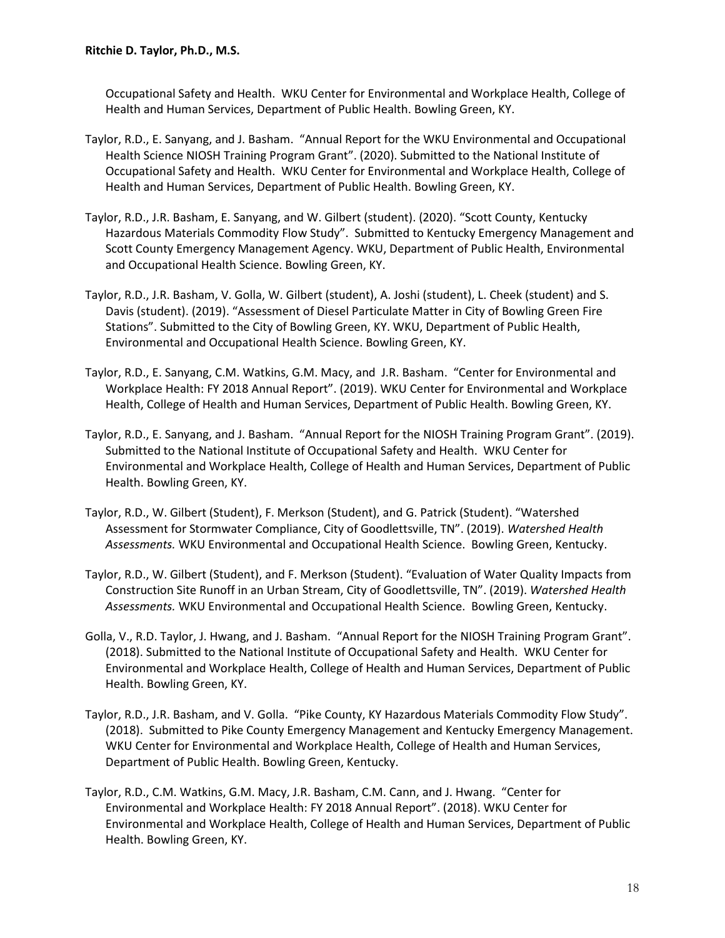Occupational Safety and Health. WKU Center for Environmental and Workplace Health, College of Health and Human Services, Department of Public Health. Bowling Green, KY.

- Taylor, R.D., E. Sanyang, and J. Basham. "Annual Report for the WKU Environmental and Occupational Health Science NIOSH Training Program Grant". (2020). Submitted to the National Institute of Occupational Safety and Health. WKU Center for Environmental and Workplace Health, College of Health and Human Services, Department of Public Health. Bowling Green, KY.
- Taylor, R.D., J.R. Basham, E. Sanyang, and W. Gilbert (student). (2020). "Scott County, Kentucky Hazardous Materials Commodity Flow Study". Submitted to Kentucky Emergency Management and Scott County Emergency Management Agency. WKU, Department of Public Health, Environmental and Occupational Health Science. Bowling Green, KY.
- Taylor, R.D., J.R. Basham, V. Golla, W. Gilbert (student), A. Joshi (student), L. Cheek (student) and S. Davis (student). (2019). "Assessment of Diesel Particulate Matter in City of Bowling Green Fire Stations". Submitted to the City of Bowling Green, KY. WKU, Department of Public Health, Environmental and Occupational Health Science. Bowling Green, KY.
- Taylor, R.D., E. Sanyang, C.M. Watkins, G.M. Macy, and J.R. Basham. "Center for Environmental and Workplace Health: FY 2018 Annual Report". (2019). WKU Center for Environmental and Workplace Health, College of Health and Human Services, Department of Public Health. Bowling Green, KY.
- Taylor, R.D., E. Sanyang, and J. Basham. "Annual Report for the NIOSH Training Program Grant". (2019). Submitted to the National Institute of Occupational Safety and Health. WKU Center for Environmental and Workplace Health, College of Health and Human Services, Department of Public Health. Bowling Green, KY.
- Taylor, R.D., W. Gilbert (Student), F. Merkson (Student), and G. Patrick (Student). "Watershed Assessment for Stormwater Compliance, City of Goodlettsville, TN". (2019). *Watershed Health Assessments.* WKU Environmental and Occupational Health Science. Bowling Green, Kentucky.
- Taylor, R.D., W. Gilbert (Student), and F. Merkson (Student). "Evaluation of Water Quality Impacts from Construction Site Runoff in an Urban Stream, City of Goodlettsville, TN". (2019). *Watershed Health Assessments.* WKU Environmental and Occupational Health Science. Bowling Green, Kentucky.
- Golla, V., R.D. Taylor, J. Hwang, and J. Basham. "Annual Report for the NIOSH Training Program Grant". (2018). Submitted to the National Institute of Occupational Safety and Health. WKU Center for Environmental and Workplace Health, College of Health and Human Services, Department of Public Health. Bowling Green, KY.
- Taylor, R.D., J.R. Basham, and V. Golla. "Pike County, KY Hazardous Materials Commodity Flow Study". (2018). Submitted to Pike County Emergency Management and Kentucky Emergency Management. WKU Center for Environmental and Workplace Health, College of Health and Human Services, Department of Public Health. Bowling Green, Kentucky.
- Taylor, R.D., C.M. Watkins, G.M. Macy, J.R. Basham, C.M. Cann, and J. Hwang. "Center for Environmental and Workplace Health: FY 2018 Annual Report". (2018). WKU Center for Environmental and Workplace Health, College of Health and Human Services, Department of Public Health. Bowling Green, KY.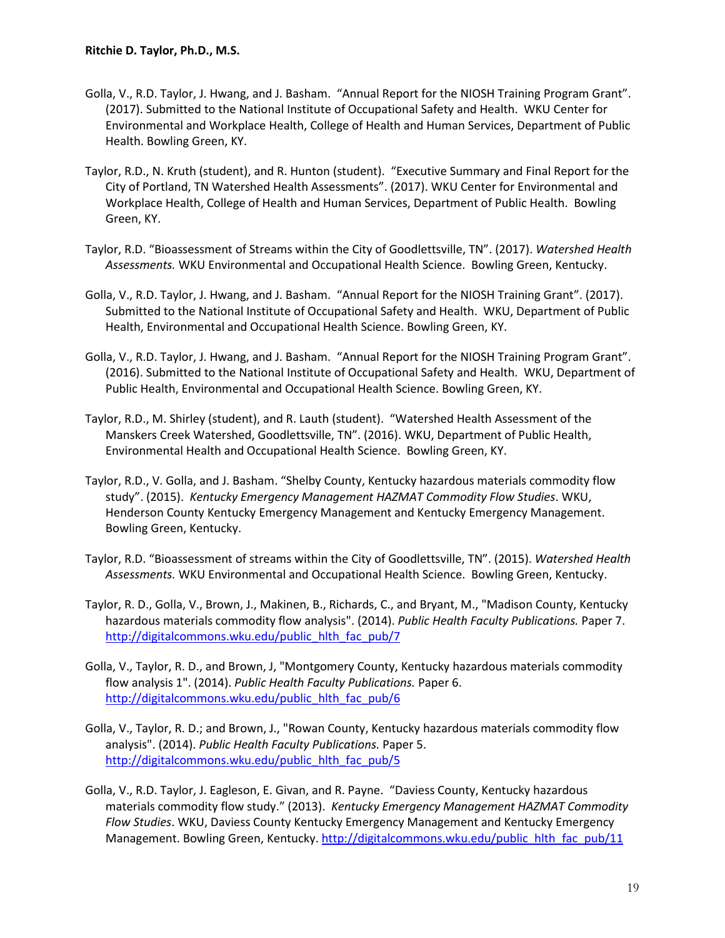- Golla, V., R.D. Taylor, J. Hwang, and J. Basham. "Annual Report for the NIOSH Training Program Grant". (2017). Submitted to the National Institute of Occupational Safety and Health. WKU Center for Environmental and Workplace Health, College of Health and Human Services, Department of Public Health. Bowling Green, KY.
- Taylor, R.D., N. Kruth (student), and R. Hunton (student). "Executive Summary and Final Report for the City of Portland, TN Watershed Health Assessments". (2017). WKU Center for Environmental and Workplace Health, College of Health and Human Services, Department of Public Health. Bowling Green, KY.
- Taylor, R.D. "Bioassessment of Streams within the City of Goodlettsville, TN". (2017). *Watershed Health Assessments.* WKU Environmental and Occupational Health Science. Bowling Green, Kentucky.
- Golla, V., R.D. Taylor, J. Hwang, and J. Basham. "Annual Report for the NIOSH Training Grant". (2017). Submitted to the National Institute of Occupational Safety and Health. WKU, Department of Public Health, Environmental and Occupational Health Science. Bowling Green, KY.
- Golla, V., R.D. Taylor, J. Hwang, and J. Basham. "Annual Report for the NIOSH Training Program Grant". (2016). Submitted to the National Institute of Occupational Safety and Health. WKU, Department of Public Health, Environmental and Occupational Health Science. Bowling Green, KY.
- Taylor, R.D., M. Shirley (student), and R. Lauth (student). "Watershed Health Assessment of the Manskers Creek Watershed, Goodlettsville, TN". (2016). WKU, Department of Public Health, Environmental Health and Occupational Health Science. Bowling Green, KY.
- Taylor, R.D., V. Golla, and J. Basham. "Shelby County, Kentucky hazardous materials commodity flow study". (2015). *Kentucky Emergency Management HAZMAT Commodity Flow Studies*. WKU, Henderson County Kentucky Emergency Management and Kentucky Emergency Management. Bowling Green, Kentucky.
- Taylor, R.D. "Bioassessment of streams within the City of Goodlettsville, TN". (2015). *Watershed Health Assessments.* WKU Environmental and Occupational Health Science. Bowling Green, Kentucky.
- Taylor, R. D., Golla, V., Brown, J., Makinen, B., Richards, C., and Bryant, M., "Madison County, Kentucky hazardous materials commodity flow analysis". (2014). *Public Health Faculty Publications.* Paper 7. [http://digitalcommons.wku.edu/public\\_hlth\\_fac\\_pub/7](http://digitalcommons.wku.edu/public_hlth_fac_pub/7)
- Golla, V., Taylor, R. D., and Brown, J, "Montgomery County, Kentucky hazardous materials commodity flow analysis 1". (2014). *Public Health Faculty Publications.* Paper 6. [http://digitalcommons.wku.edu/public\\_hlth\\_fac\\_pub/6](http://digitalcommons.wku.edu/public_hlth_fac_pub/6)
- Golla, V., Taylor, R. D.; and Brown, J., "Rowan County, Kentucky hazardous materials commodity flow analysis". (2014). *Public Health Faculty Publications.* Paper 5. http://digitalcommons.wku.edu/public\_hlth\_fac\_pub/5
- Golla, V., R.D. Taylor, J. Eagleson, E. Givan, and R. Payne. "Daviess County, Kentucky hazardous materials commodity flow study." (2013). *Kentucky Emergency Management HAZMAT Commodity Flow Studies*. WKU, Daviess County Kentucky Emergency Management and Kentucky Emergency Management. Bowling Green, Kentucky[. http://digitalcommons.wku.edu/public\\_hlth\\_fac\\_pub/11](http://digitalcommons.wku.edu/public_hlth_fac_pub/11)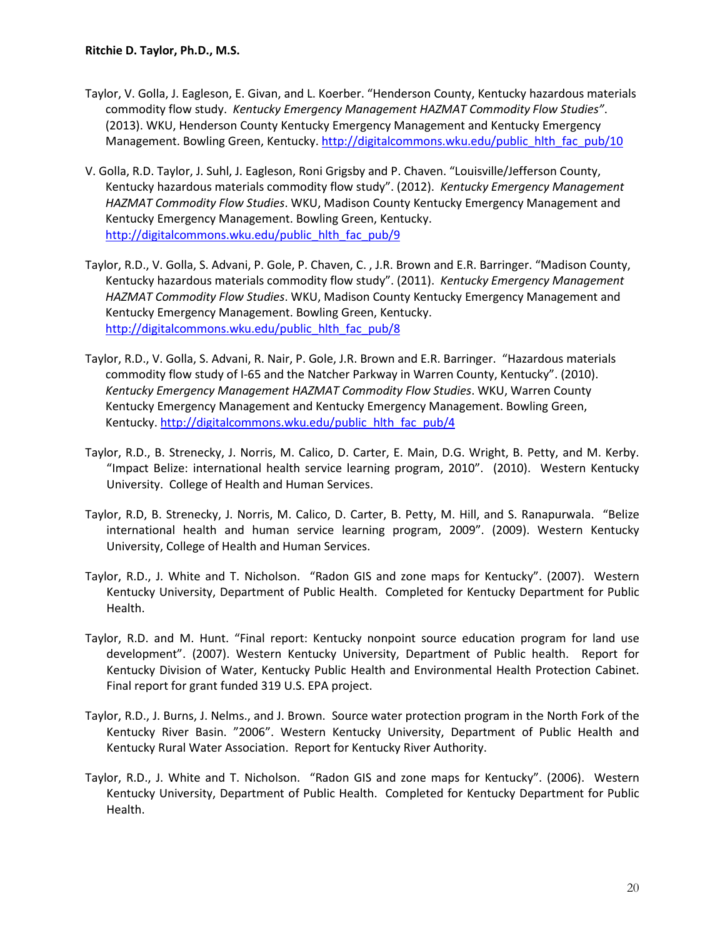- Taylor, V. Golla, J. Eagleson, E. Givan, and L. Koerber. "Henderson County, Kentucky hazardous materials commodity flow study. *Kentucky Emergency Management HAZMAT Commodity Flow Studies"*. (2013). WKU, Henderson County Kentucky Emergency Management and Kentucky Emergency Management. Bowling Green, Kentucky[. http://digitalcommons.wku.edu/public\\_hlth\\_fac\\_pub/10](http://digitalcommons.wku.edu/public_hlth_fac_pub/10)
- V. Golla, R.D. Taylor, J. Suhl, J. Eagleson, Roni Grigsby and P. Chaven. "Louisville/Jefferson County, Kentucky hazardous materials commodity flow study". (2012). *Kentucky Emergency Management HAZMAT Commodity Flow Studies*. WKU, Madison County Kentucky Emergency Management and Kentucky Emergency Management. Bowling Green, Kentucky. [http://digitalcommons.wku.edu/public\\_hlth\\_fac\\_pub/9](http://digitalcommons.wku.edu/public_hlth_fac_pub/9)
- Taylor, R.D., V. Golla, S. Advani, P. Gole, P. Chaven, C. , J.R. Brown and E.R. Barringer. "Madison County, Kentucky hazardous materials commodity flow study". (2011). *Kentucky Emergency Management HAZMAT Commodity Flow Studies*. WKU, Madison County Kentucky Emergency Management and Kentucky Emergency Management. Bowling Green, Kentucky. [http://digitalcommons.wku.edu/public\\_hlth\\_fac\\_pub/8](http://digitalcommons.wku.edu/public_hlth_fac_pub/8)
- Taylor, R.D., V. Golla, S. Advani, R. Nair, P. Gole, J.R. Brown and E.R. Barringer. "Hazardous materials commodity flow study of I-65 and the Natcher Parkway in Warren County, Kentucky". (2010). *Kentucky Emergency Management HAZMAT Commodity Flow Studies*. WKU, Warren County Kentucky Emergency Management and Kentucky Emergency Management. Bowling Green, Kentucky[. http://digitalcommons.wku.edu/public\\_hlth\\_fac\\_pub/4](http://digitalcommons.wku.edu/public_hlth_fac_pub/4)
- Taylor, R.D., B. Strenecky, J. Norris, M. Calico, D. Carter, E. Main, D.G. Wright, B. Petty, and M. Kerby. "Impact Belize: international health service learning program, 2010". (2010). Western Kentucky University. College of Health and Human Services.
- Taylor, R.D, B. Strenecky, J. Norris, M. Calico, D. Carter, B. Petty, M. Hill, and S. Ranapurwala. "Belize international health and human service learning program, 2009". (2009). Western Kentucky University, College of Health and Human Services.
- Taylor, R.D., J. White and T. Nicholson. "Radon GIS and zone maps for Kentucky". (2007). Western Kentucky University, Department of Public Health. Completed for Kentucky Department for Public Health.
- Taylor, R.D. and M. Hunt. "Final report: Kentucky nonpoint source education program for land use development". (2007). Western Kentucky University, Department of Public health. Report for Kentucky Division of Water, Kentucky Public Health and Environmental Health Protection Cabinet. Final report for grant funded 319 U.S. EPA project.
- Taylor, R.D., J. Burns, J. Nelms., and J. Brown. Source water protection program in the North Fork of the Kentucky River Basin. "2006". Western Kentucky University, Department of Public Health and Kentucky Rural Water Association. Report for Kentucky River Authority.
- Taylor, R.D., J. White and T. Nicholson. "Radon GIS and zone maps for Kentucky". (2006). Western Kentucky University, Department of Public Health. Completed for Kentucky Department for Public Health.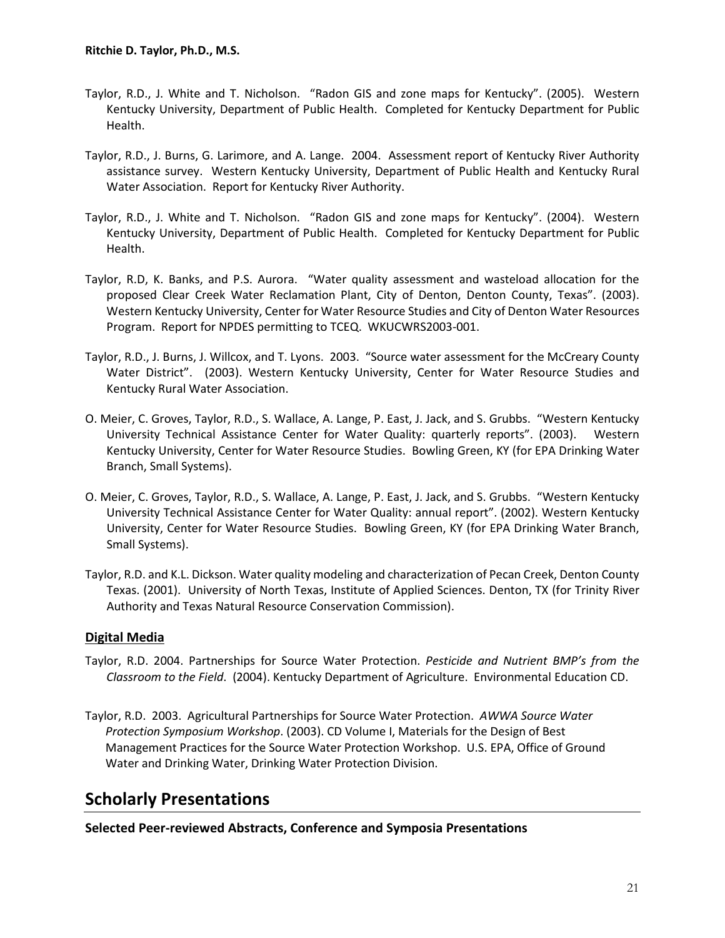- Taylor, R.D., J. White and T. Nicholson. "Radon GIS and zone maps for Kentucky". (2005). Western Kentucky University, Department of Public Health. Completed for Kentucky Department for Public Health.
- Taylor, R.D., J. Burns, G. Larimore, and A. Lange. 2004. Assessment report of Kentucky River Authority assistance survey. Western Kentucky University, Department of Public Health and Kentucky Rural Water Association. Report for Kentucky River Authority.
- Taylor, R.D., J. White and T. Nicholson. "Radon GIS and zone maps for Kentucky". (2004). Western Kentucky University, Department of Public Health. Completed for Kentucky Department for Public Health.
- Taylor, R.D, K. Banks, and P.S. Aurora. "Water quality assessment and wasteload allocation for the proposed Clear Creek Water Reclamation Plant, City of Denton, Denton County, Texas". (2003). Western Kentucky University, Center for Water Resource Studies and City of Denton Water Resources Program. Report for NPDES permitting to TCEQ. WKUCWRS2003-001.
- Taylor, R.D., J. Burns, J. Willcox, and T. Lyons. 2003. "Source water assessment for the McCreary County Water District". (2003). Western Kentucky University, Center for Water Resource Studies and Kentucky Rural Water Association.
- O. Meier, C. Groves, Taylor, R.D., S. Wallace, A. Lange, P. East, J. Jack, and S. Grubbs. "Western Kentucky University Technical Assistance Center for Water Quality: quarterly reports". (2003). Western Kentucky University, Center for Water Resource Studies. Bowling Green, KY (for EPA Drinking Water Branch, Small Systems).
- O. Meier, C. Groves, Taylor, R.D., S. Wallace, A. Lange, P. East, J. Jack, and S. Grubbs. "Western Kentucky University Technical Assistance Center for Water Quality: annual report". (2002). Western Kentucky University, Center for Water Resource Studies. Bowling Green, KY (for EPA Drinking Water Branch, Small Systems).
- Taylor, R.D. and K.L. Dickson. Water quality modeling and characterization of Pecan Creek, Denton County Texas. (2001). University of North Texas, Institute of Applied Sciences. Denton, TX (for Trinity River Authority and Texas Natural Resource Conservation Commission).

### **Digital Media**

- Taylor, R.D. 2004. Partnerships for Source Water Protection. *Pesticide and Nutrient BMP's from the Classroom to the Field*. (2004). Kentucky Department of Agriculture. Environmental Education CD.
- Taylor, R.D. 2003. Agricultural Partnerships for Source Water Protection. *AWWA Source Water Protection Symposium Workshop*. (2003). CD Volume I, Materials for the Design of Best Management Practices for the Source Water Protection Workshop. U.S. EPA, Office of Ground Water and Drinking Water, Drinking Water Protection Division.

## **Scholarly Presentations**

**Selected Peer-reviewed Abstracts, Conference and Symposia Presentations**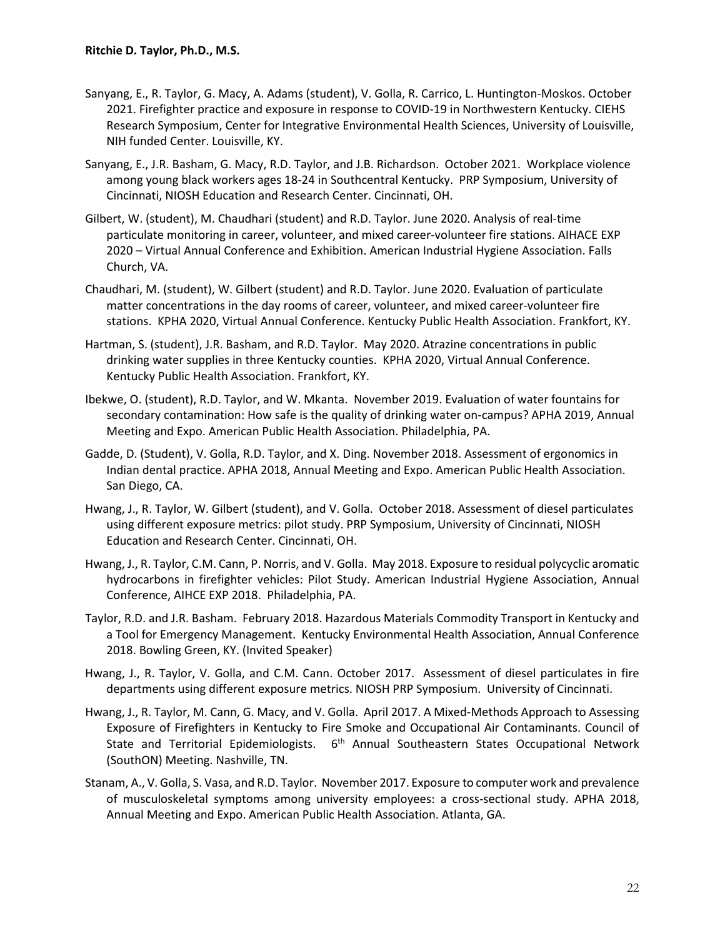- Sanyang, E., R. Taylor, G. Macy, A. Adams (student), V. Golla, R. Carrico, L. Huntington-Moskos. October 2021. Firefighter practice and exposure in response to COVID-19 in Northwestern Kentucky. CIEHS Research Symposium, Center for Integrative Environmental Health Sciences, University of Louisville, NIH funded Center. Louisville, KY.
- Sanyang, E., J.R. Basham, G. Macy, R.D. Taylor, and J.B. Richardson. October 2021. Workplace violence among young black workers ages 18-24 in Southcentral Kentucky. PRP Symposium, University of Cincinnati, NIOSH Education and Research Center. Cincinnati, OH.
- Gilbert, W. (student), M. Chaudhari (student) and R.D. Taylor. June 2020. Analysis of real-time particulate monitoring in career, volunteer, and mixed career-volunteer fire stations. AIHACE EXP 2020 – Virtual Annual Conference and Exhibition. American Industrial Hygiene Association. Falls Church, VA.
- Chaudhari, M. (student), W. Gilbert (student) and R.D. Taylor. June 2020. Evaluation of particulate matter concentrations in the day rooms of career, volunteer, and mixed career-volunteer fire stations. KPHA 2020, Virtual Annual Conference. Kentucky Public Health Association. Frankfort, KY.
- Hartman, S. (student), J.R. Basham, and R.D. Taylor. May 2020. Atrazine concentrations in public drinking water supplies in three Kentucky counties. KPHA 2020, Virtual Annual Conference. Kentucky Public Health Association. Frankfort, KY.
- Ibekwe, O. (student), R.D. Taylor, and W. Mkanta. November 2019. Evaluation of water fountains for secondary contamination: How safe is the quality of drinking water on-campus? APHA 2019, Annual Meeting and Expo. American Public Health Association. Philadelphia, PA.
- Gadde, D. (Student), V. Golla, R.D. Taylor, and X. Ding. November 2018. Assessment of ergonomics in Indian dental practice. APHA 2018, Annual Meeting and Expo. American Public Health Association. San Diego, CA.
- Hwang, J., R. Taylor, W. Gilbert (student), and V. Golla. October 2018. Assessment of diesel particulates using different exposure metrics: pilot study. PRP Symposium, University of Cincinnati, NIOSH Education and Research Center. Cincinnati, OH.
- Hwang, J., R. Taylor, C.M. Cann, P. Norris, and V. Golla. May 2018. Exposure to residual polycyclic aromatic hydrocarbons in firefighter vehicles: Pilot Study. American Industrial Hygiene Association, Annual Conference, AIHCE EXP 2018. Philadelphia, PA.
- Taylor, R.D. and J.R. Basham. February 2018. Hazardous Materials Commodity Transport in Kentucky and a Tool for Emergency Management. Kentucky Environmental Health Association, Annual Conference 2018. Bowling Green, KY. (Invited Speaker)
- Hwang, J., R. Taylor, V. Golla, and C.M. Cann. October 2017. Assessment of diesel particulates in fire departments using different exposure metrics. NIOSH PRP Symposium. University of Cincinnati.
- Hwang, J., R. Taylor, M. Cann, G. Macy, and V. Golla. April 2017. A Mixed-Methods Approach to Assessing Exposure of Firefighters in Kentucky to Fire Smoke and Occupational Air Contaminants. Council of State and Territorial Epidemiologists. 6<sup>th</sup> Annual Southeastern States Occupational Network (SouthON) Meeting. Nashville, TN.
- Stanam, A., V. Golla, S. Vasa, and R.D. Taylor. November 2017. Exposure to computer work and prevalence of musculoskeletal symptoms among university employees: a cross-sectional study. APHA 2018, Annual Meeting and Expo. American Public Health Association. Atlanta, GA.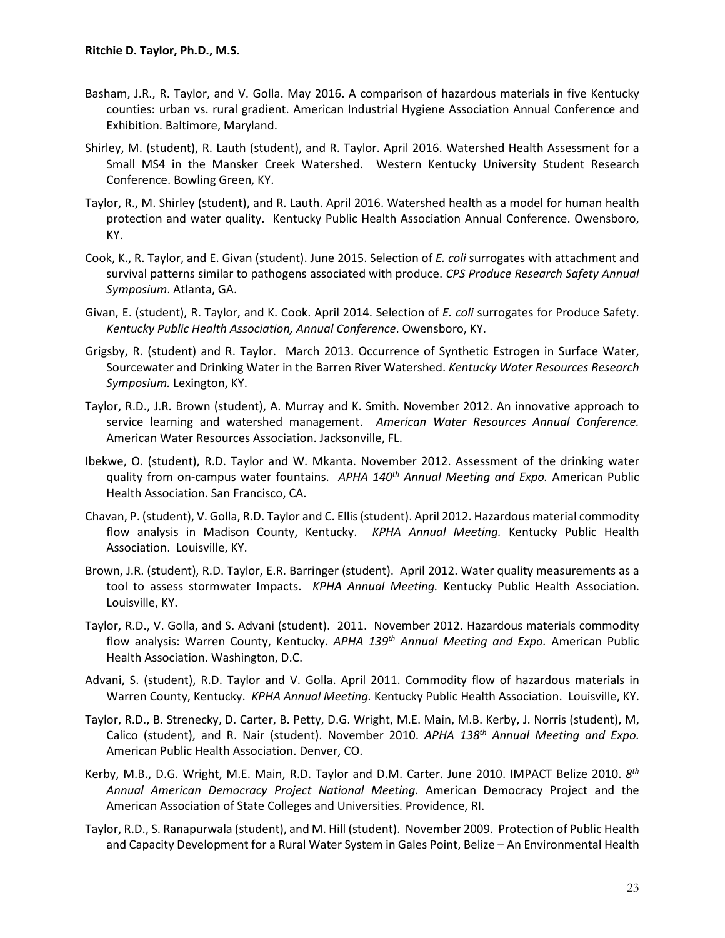- Basham, J.R., R. Taylor, and V. Golla. May 2016. A comparison of hazardous materials in five Kentucky counties: urban vs. rural gradient. American Industrial Hygiene Association Annual Conference and Exhibition. Baltimore, Maryland.
- Shirley, M. (student), R. Lauth (student), and R. Taylor. April 2016. Watershed Health Assessment for a Small MS4 in the Mansker Creek Watershed. Western Kentucky University Student Research Conference. Bowling Green, KY.
- Taylor, R., M. Shirley (student), and R. Lauth. April 2016. Watershed health as a model for human health protection and water quality. Kentucky Public Health Association Annual Conference. Owensboro, KY.
- Cook, K., R. Taylor, and E. Givan (student). June 2015. Selection of *E. coli* surrogates with attachment and survival patterns similar to pathogens associated with produce. *CPS Produce Research Safety Annual Symposium*. Atlanta, GA.
- Givan, E. (student), R. Taylor, and K. Cook. April 2014. Selection of *E. coli* surrogates for Produce Safety. *Kentucky Public Health Association, Annual Conference*. Owensboro, KY.
- Grigsby, R. (student) and R. Taylor. March 2013. Occurrence of Synthetic Estrogen in Surface Water, Sourcewater and Drinking Water in the Barren River Watershed. *Kentucky Water Resources Research Symposium.* Lexington, KY.
- Taylor, R.D., J.R. Brown (student), A. Murray and K. Smith. November 2012. An innovative approach to service learning and watershed management. *American Water Resources Annual Conference.* American Water Resources Association. Jacksonville, FL.
- Ibekwe, O. (student), R.D. Taylor and W. Mkanta. November 2012. Assessment of the drinking water quality from on-campus water fountains. *APHA 140th Annual Meeting and Expo.* American Public Health Association. San Francisco, CA.
- Chavan, P. (student), V. Golla, R.D. Taylor and C. Ellis (student). April 2012. Hazardous material commodity flow analysis in Madison County, Kentucky. *KPHA Annual Meeting.* Kentucky Public Health Association. Louisville, KY.
- Brown, J.R. (student), R.D. Taylor, E.R. Barringer (student). April 2012. Water quality measurements as a tool to assess stormwater Impacts. *KPHA Annual Meeting.* Kentucky Public Health Association. Louisville, KY.
- Taylor, R.D., V. Golla, and S. Advani (student). 2011. November 2012. Hazardous materials commodity flow analysis: Warren County, Kentucky. *APHA 139th Annual Meeting and Expo.* American Public Health Association. Washington, D.C.
- Advani, S. (student), R.D. Taylor and V. Golla. April 2011. Commodity flow of hazardous materials in Warren County, Kentucky. *KPHA Annual Meeting.* Kentucky Public Health Association. Louisville, KY.
- Taylor, R.D., B. Strenecky, D. Carter, B. Petty, D.G. Wright, M.E. Main, M.B. Kerby, J. Norris (student), M, Calico (student), and R. Nair (student). November 2010. *APHA 138th Annual Meeting and Expo.* American Public Health Association. Denver, CO.
- Kerby, M.B., D.G. Wright, M.E. Main, R.D. Taylor and D.M. Carter. June 2010. IMPACT Belize 2010. *8th Annual American Democracy Project National Meeting.* American Democracy Project and the American Association of State Colleges and Universities. Providence, RI.
- Taylor, R.D., S. Ranapurwala (student), and M. Hill (student). November 2009. Protection of Public Health and Capacity Development for a Rural Water System in Gales Point, Belize – An Environmental Health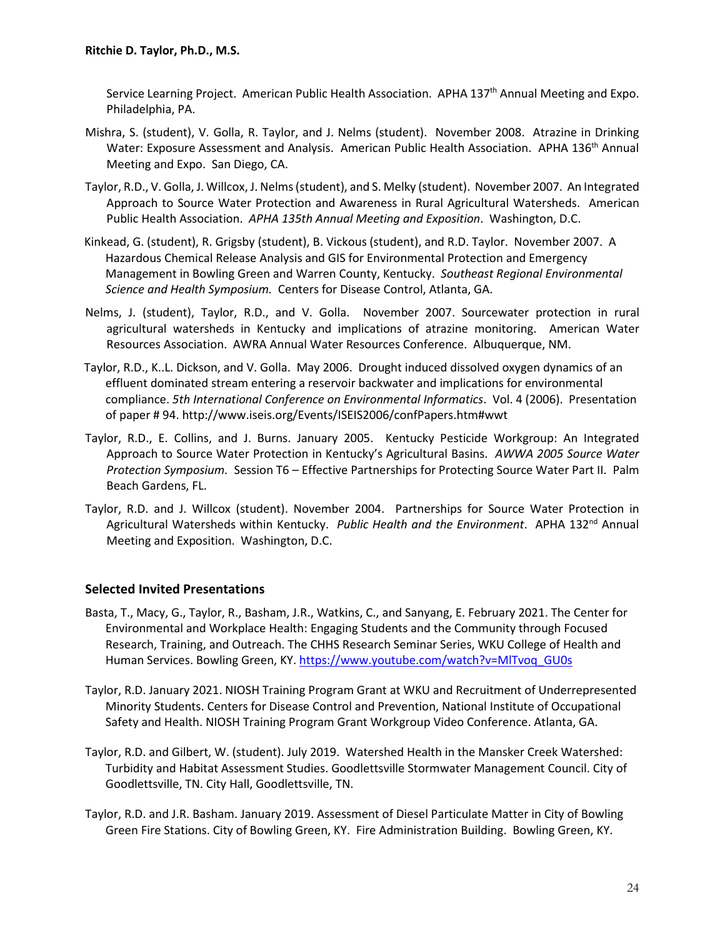Service Learning Project. American Public Health Association. APHA 137<sup>th</sup> Annual Meeting and Expo. Philadelphia, PA.

- Mishra, S. (student), V. Golla, R. Taylor, and J. Nelms (student). November 2008. Atrazine in Drinking Water: Exposure Assessment and Analysis. American Public Health Association. APHA 136<sup>th</sup> Annual Meeting and Expo. San Diego, CA.
- Taylor, R.D., V. Golla, J. Willcox, J. Nelms (student), and S. Melky (student). November 2007. An Integrated Approach to Source Water Protection and Awareness in Rural Agricultural Watersheds. American Public Health Association. *APHA 135th Annual Meeting and Exposition*. Washington, D.C.
- Kinkead, G. (student), R. Grigsby (student), B. Vickous (student), and R.D. Taylor. November 2007. A Hazardous Chemical Release Analysis and GIS for Environmental Protection and Emergency Management in Bowling Green and Warren County, Kentucky. *Southeast Regional Environmental Science and Health Symposium.* Centers for Disease Control, Atlanta, GA.
- Nelms, J. (student), Taylor, R.D., and V. Golla. November 2007. Sourcewater protection in rural agricultural watersheds in Kentucky and implications of atrazine monitoring. American Water Resources Association. AWRA Annual Water Resources Conference. Albuquerque, NM.
- Taylor, R.D., K..L. Dickson, and V. Golla. May 2006. Drought induced dissolved oxygen dynamics of an effluent dominated stream entering a reservoir backwater and implications for environmental compliance. *5th International Conference on Environmental Informatics*. Vol. 4 (2006). Presentation of paper # 94. http://www.iseis.org/Events/ISEIS2006/confPapers.htm#wwt
- Taylor, R.D., E. Collins, and J. Burns. January 2005. Kentucky Pesticide Workgroup: An Integrated Approach to Source Water Protection in Kentucky's Agricultural Basins. *AWWA 2005 Source Water Protection Symposium.* Session T6 – Effective Partnerships for Protecting Source Water Part II. Palm Beach Gardens, FL.
- Taylor, R.D. and J. Willcox (student). November 2004. Partnerships for Source Water Protection in Agricultural Watersheds within Kentucky. *Public Health and the Environment*. APHA 132<sup>nd</sup> Annual Meeting and Exposition. Washington, D.C.

### **Selected Invited Presentations**

- Basta, T., Macy, G., Taylor, R., Basham, J.R., Watkins, C., and Sanyang, E. February 2021. The Center for Environmental and Workplace Health: Engaging Students and the Community through Focused Research, Training, and Outreach. The CHHS Research Seminar Series, WKU College of Health and Human Services. Bowling Green, KY. [https://www.youtube.com/watch?v=MlTvoq\\_GU0s](https://www.youtube.com/watch?v=MlTvoq_GU0s)
- Taylor, R.D. January 2021. NIOSH Training Program Grant at WKU and Recruitment of Underrepresented Minority Students. Centers for Disease Control and Prevention, National Institute of Occupational Safety and Health. NIOSH Training Program Grant Workgroup Video Conference. Atlanta, GA.
- Taylor, R.D. and Gilbert, W. (student). July 2019. Watershed Health in the Mansker Creek Watershed: Turbidity and Habitat Assessment Studies. Goodlettsville Stormwater Management Council. City of Goodlettsville, TN. City Hall, Goodlettsville, TN.
- Taylor, R.D. and J.R. Basham. January 2019. Assessment of Diesel Particulate Matter in City of Bowling Green Fire Stations. City of Bowling Green, KY. Fire Administration Building. Bowling Green, KY.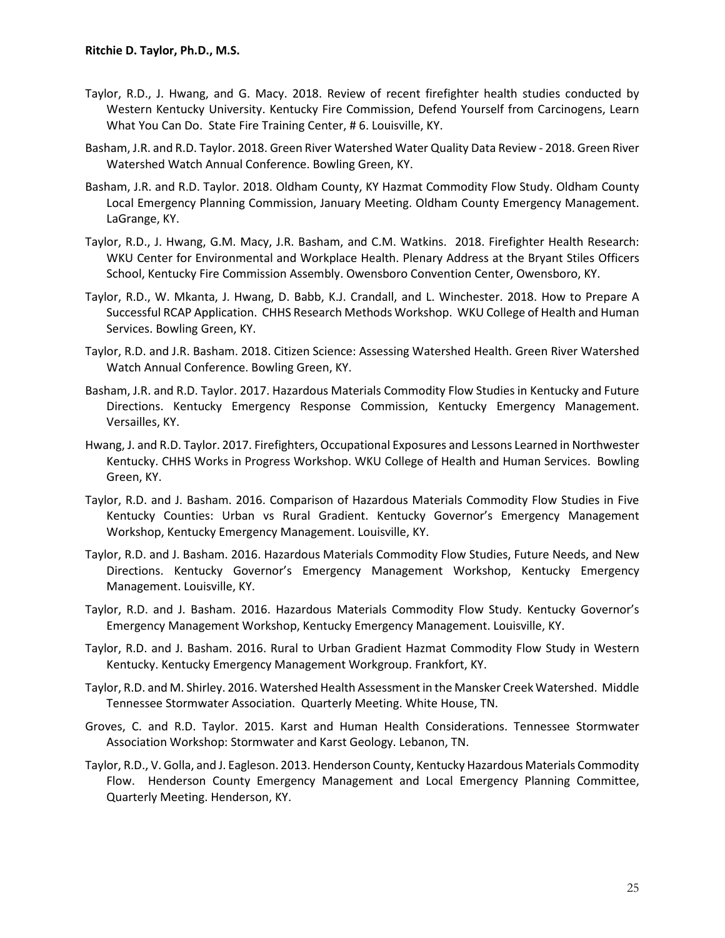- Taylor, R.D., J. Hwang, and G. Macy. 2018. Review of recent firefighter health studies conducted by Western Kentucky University. Kentucky Fire Commission, Defend Yourself from Carcinogens, Learn What You Can Do. State Fire Training Center, # 6. Louisville, KY.
- Basham, J.R. and R.D. Taylor. 2018. Green River Watershed Water Quality Data Review 2018. Green River Watershed Watch Annual Conference. Bowling Green, KY.
- Basham, J.R. and R.D. Taylor. 2018. Oldham County, KY Hazmat Commodity Flow Study. Oldham County Local Emergency Planning Commission, January Meeting. Oldham County Emergency Management. LaGrange, KY.
- Taylor, R.D., J. Hwang, G.M. Macy, J.R. Basham, and C.M. Watkins. 2018. Firefighter Health Research: WKU Center for Environmental and Workplace Health. Plenary Address at the Bryant Stiles Officers School, Kentucky Fire Commission Assembly. Owensboro Convention Center, Owensboro, KY.
- Taylor, R.D., W. Mkanta, J. Hwang, D. Babb, K.J. Crandall, and L. Winchester. 2018. How to Prepare A Successful RCAP Application. CHHS Research Methods Workshop. WKU College of Health and Human Services. Bowling Green, KY.
- Taylor, R.D. and J.R. Basham. 2018. Citizen Science: Assessing Watershed Health. Green River Watershed Watch Annual Conference. Bowling Green, KY.
- Basham, J.R. and R.D. Taylor. 2017. Hazardous Materials Commodity Flow Studies in Kentucky and Future Directions. Kentucky Emergency Response Commission, Kentucky Emergency Management. Versailles, KY.
- Hwang, J. and R.D. Taylor. 2017. Firefighters, Occupational Exposures and Lessons Learned in Northwester Kentucky. CHHS Works in Progress Workshop. WKU College of Health and Human Services. Bowling Green, KY.
- Taylor, R.D. and J. Basham. 2016. Comparison of Hazardous Materials Commodity Flow Studies in Five Kentucky Counties: Urban vs Rural Gradient. Kentucky Governor's Emergency Management Workshop, Kentucky Emergency Management. Louisville, KY.
- Taylor, R.D. and J. Basham. 2016. Hazardous Materials Commodity Flow Studies, Future Needs, and New Directions. Kentucky Governor's Emergency Management Workshop, Kentucky Emergency Management. Louisville, KY.
- Taylor, R.D. and J. Basham. 2016. Hazardous Materials Commodity Flow Study. Kentucky Governor's Emergency Management Workshop, Kentucky Emergency Management. Louisville, KY.
- Taylor, R.D. and J. Basham. 2016. Rural to Urban Gradient Hazmat Commodity Flow Study in Western Kentucky. Kentucky Emergency Management Workgroup. Frankfort, KY.
- Taylor, R.D. and M. Shirley. 2016. Watershed Health Assessment in the Mansker Creek Watershed. Middle Tennessee Stormwater Association. Quarterly Meeting. White House, TN.
- Groves, C. and R.D. Taylor. 2015. Karst and Human Health Considerations. Tennessee Stormwater Association Workshop: Stormwater and Karst Geology. Lebanon, TN.
- Taylor, R.D., V. Golla, and J. Eagleson. 2013. Henderson County, Kentucky Hazardous Materials Commodity Flow. Henderson County Emergency Management and Local Emergency Planning Committee, Quarterly Meeting. Henderson, KY.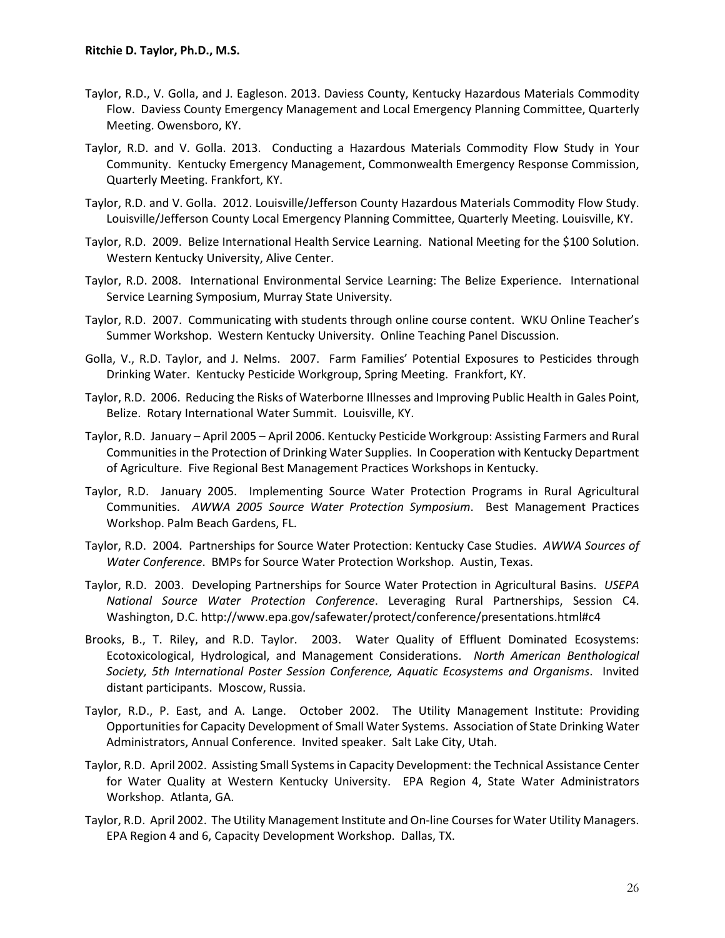- Taylor, R.D., V. Golla, and J. Eagleson. 2013. Daviess County, Kentucky Hazardous Materials Commodity Flow. Daviess County Emergency Management and Local Emergency Planning Committee, Quarterly Meeting. Owensboro, KY.
- Taylor, R.D. and V. Golla. 2013. Conducting a Hazardous Materials Commodity Flow Study in Your Community. Kentucky Emergency Management, Commonwealth Emergency Response Commission, Quarterly Meeting. Frankfort, KY.
- Taylor, R.D. and V. Golla. 2012. Louisville/Jefferson County Hazardous Materials Commodity Flow Study. Louisville/Jefferson County Local Emergency Planning Committee, Quarterly Meeting. Louisville, KY.
- Taylor, R.D. 2009. Belize International Health Service Learning. National Meeting for the \$100 Solution. Western Kentucky University, Alive Center.
- Taylor, R.D. 2008. International Environmental Service Learning: The Belize Experience. International Service Learning Symposium, Murray State University.
- Taylor, R.D. 2007. Communicating with students through online course content. WKU Online Teacher's Summer Workshop. Western Kentucky University. Online Teaching Panel Discussion.
- Golla, V., R.D. Taylor, and J. Nelms. 2007. Farm Families' Potential Exposures to Pesticides through Drinking Water. Kentucky Pesticide Workgroup, Spring Meeting. Frankfort, KY.
- Taylor, R.D. 2006. Reducing the Risks of Waterborne Illnesses and Improving Public Health in Gales Point, Belize. Rotary International Water Summit. Louisville, KY.
- Taylor, R.D. January April 2005 April 2006. Kentucky Pesticide Workgroup: Assisting Farmers and Rural Communities in the Protection of Drinking Water Supplies. In Cooperation with Kentucky Department of Agriculture. Five Regional Best Management Practices Workshops in Kentucky.
- Taylor, R.D. January 2005. Implementing Source Water Protection Programs in Rural Agricultural Communities. *AWWA 2005 Source Water Protection Symposium*. Best Management Practices Workshop. Palm Beach Gardens, FL.
- Taylor, R.D. 2004. Partnerships for Source Water Protection: Kentucky Case Studies. *AWWA Sources of Water Conference*. BMPs for Source Water Protection Workshop. Austin, Texas.
- Taylor, R.D. 2003. Developing Partnerships for Source Water Protection in Agricultural Basins. *USEPA National Source Water Protection Conference*. Leveraging Rural Partnerships, Session C4. Washington, D.C. http://www.epa.gov/safewater/protect/conference/presentations.html#c4
- Brooks, B., T. Riley, and R.D. Taylor. 2003. Water Quality of Effluent Dominated Ecosystems: Ecotoxicological, Hydrological, and Management Considerations. *North American Benthological Society, 5th International Poster Session Conference, Aquatic Ecosystems and Organisms*. Invited distant participants. Moscow, Russia.
- Taylor, R.D., P. East, and A. Lange. October 2002. The Utility Management Institute: Providing Opportunities for Capacity Development of Small Water Systems. Association of State Drinking Water Administrators, Annual Conference. Invited speaker. Salt Lake City, Utah.
- Taylor, R.D. April 2002. Assisting Small Systems in Capacity Development: the Technical Assistance Center for Water Quality at Western Kentucky University. EPA Region 4, State Water Administrators Workshop. Atlanta, GA.
- Taylor, R.D. April 2002. The Utility Management Institute and On-line Courses for Water Utility Managers. EPA Region 4 and 6, Capacity Development Workshop. Dallas, TX.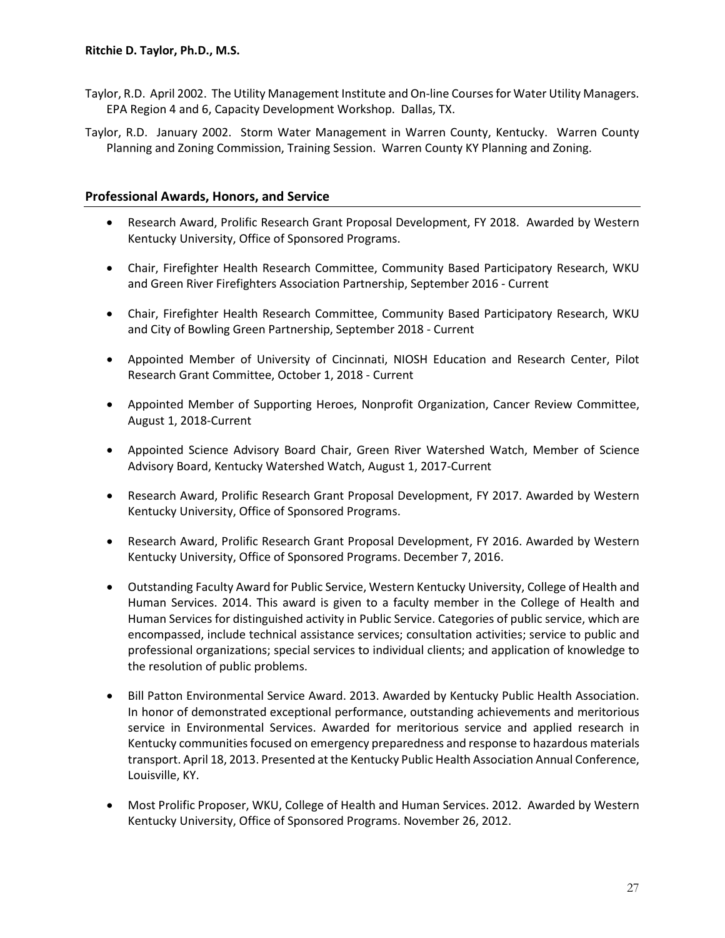- Taylor, R.D. April 2002. The Utility Management Institute and On-line Courses for Water Utility Managers. EPA Region 4 and 6, Capacity Development Workshop. Dallas, TX.
- Taylor, R.D. January 2002. Storm Water Management in Warren County, Kentucky. Warren County Planning and Zoning Commission, Training Session. Warren County KY Planning and Zoning.

#### **Professional Awards, Honors, and Service**

- Research Award, Prolific Research Grant Proposal Development, FY 2018. Awarded by Western Kentucky University, Office of Sponsored Programs.
- Chair, Firefighter Health Research Committee, Community Based Participatory Research, WKU and Green River Firefighters Association Partnership, September 2016 - Current
- Chair, Firefighter Health Research Committee, Community Based Participatory Research, WKU and City of Bowling Green Partnership, September 2018 - Current
- Appointed Member of University of Cincinnati, NIOSH Education and Research Center, Pilot Research Grant Committee, October 1, 2018 - Current
- Appointed Member of Supporting Heroes, Nonprofit Organization, Cancer Review Committee, August 1, 2018-Current
- Appointed Science Advisory Board Chair, Green River Watershed Watch, Member of Science Advisory Board, Kentucky Watershed Watch, August 1, 2017-Current
- Research Award, Prolific Research Grant Proposal Development, FY 2017. Awarded by Western Kentucky University, Office of Sponsored Programs.
- Research Award, Prolific Research Grant Proposal Development, FY 2016. Awarded by Western Kentucky University, Office of Sponsored Programs. December 7, 2016.
- Outstanding Faculty Award for Public Service, Western Kentucky University, College of Health and Human Services. 2014. This award is given to a faculty member in the College of Health and Human Services for distinguished activity in Public Service. Categories of public service, which are encompassed, include technical assistance services; consultation activities; service to public and professional organizations; special services to individual clients; and application of knowledge to the resolution of public problems.
- Bill Patton Environmental Service Award. 2013. Awarded by Kentucky Public Health Association. In honor of demonstrated exceptional performance, outstanding achievements and meritorious service in Environmental Services. Awarded for meritorious service and applied research in Kentucky communities focused on emergency preparedness and response to hazardous materials transport. April 18, 2013. Presented at the Kentucky Public Health Association Annual Conference, Louisville, KY.
- Most Prolific Proposer, WKU, College of Health and Human Services. 2012. Awarded by Western Kentucky University, Office of Sponsored Programs. November 26, 2012.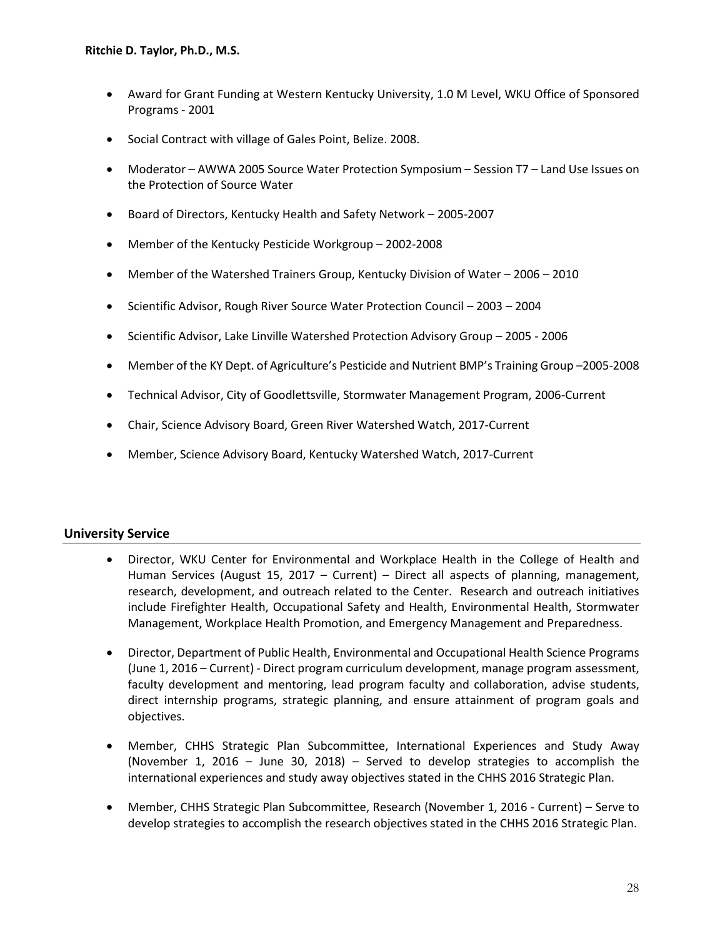- Award for Grant Funding at Western Kentucky University, 1.0 M Level, WKU Office of Sponsored Programs - 2001
- Social Contract with village of Gales Point, Belize. 2008.
- Moderator AWWA 2005 Source Water Protection Symposium Session T7 Land Use Issues on the Protection of Source Water
- Board of Directors, Kentucky Health and Safety Network 2005-2007
- Member of the Kentucky Pesticide Workgroup 2002-2008
- Member of the Watershed Trainers Group, Kentucky Division of Water 2006 2010
- Scientific Advisor, Rough River Source Water Protection Council 2003 2004
- Scientific Advisor, Lake Linville Watershed Protection Advisory Group 2005 2006
- Member of the KY Dept. of Agriculture's Pesticide and Nutrient BMP's Training Group –2005-2008
- Technical Advisor, City of Goodlettsville, Stormwater Management Program, 2006-Current
- Chair, Science Advisory Board, Green River Watershed Watch, 2017-Current
- Member, Science Advisory Board, Kentucky Watershed Watch, 2017-Current

#### **University Service**

- Director, WKU Center for Environmental and Workplace Health in the College of Health and Human Services (August 15, 2017 – Current) – Direct all aspects of planning, management, research, development, and outreach related to the Center. Research and outreach initiatives include Firefighter Health, Occupational Safety and Health, Environmental Health, Stormwater Management, Workplace Health Promotion, and Emergency Management and Preparedness.
- Director, Department of Public Health, Environmental and Occupational Health Science Programs (June 1, 2016 – Current) - Direct program curriculum development, manage program assessment, faculty development and mentoring, lead program faculty and collaboration, advise students, direct internship programs, strategic planning, and ensure attainment of program goals and objectives.
- Member, CHHS Strategic Plan Subcommittee, International Experiences and Study Away (November 1, 2016 – June 30, 2018) – Served to develop strategies to accomplish the international experiences and study away objectives stated in the CHHS 2016 Strategic Plan.
- Member, CHHS Strategic Plan Subcommittee, Research (November 1, 2016 Current) Serve to develop strategies to accomplish the research objectives stated in the CHHS 2016 Strategic Plan.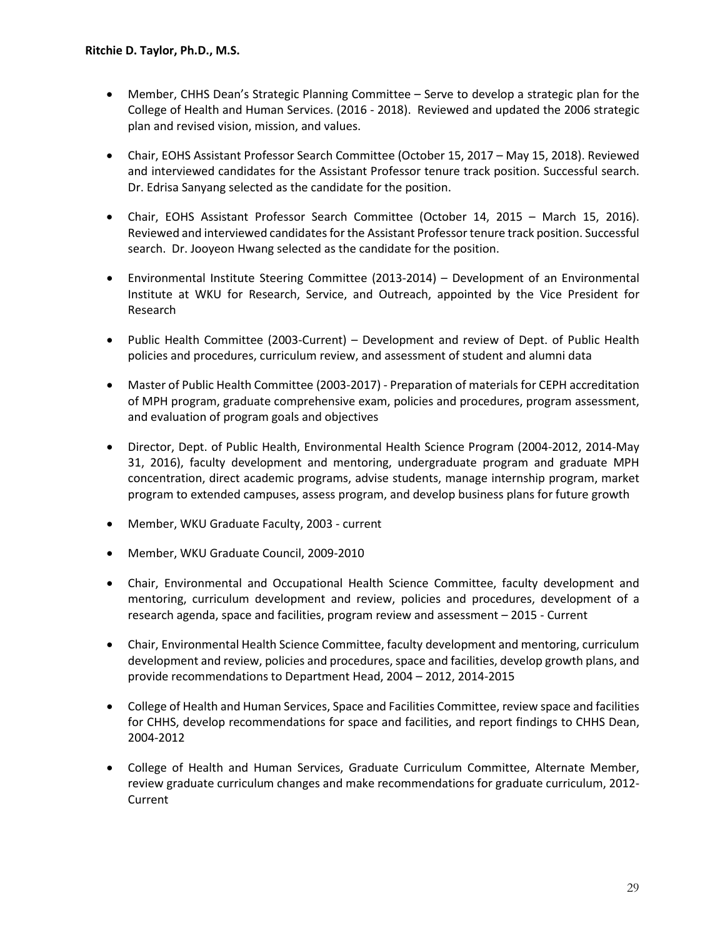- Member, CHHS Dean's Strategic Planning Committee Serve to develop a strategic plan for the College of Health and Human Services. (2016 - 2018). Reviewed and updated the 2006 strategic plan and revised vision, mission, and values.
- Chair, EOHS Assistant Professor Search Committee (October 15, 2017 May 15, 2018). Reviewed and interviewed candidates for the Assistant Professor tenure track position. Successful search. Dr. Edrisa Sanyang selected as the candidate for the position.
- Chair, EOHS Assistant Professor Search Committee (October 14, 2015 March 15, 2016). Reviewed and interviewed candidates for the Assistant Professor tenure track position. Successful search. Dr. Jooyeon Hwang selected as the candidate for the position.
- Environmental Institute Steering Committee (2013-2014) Development of an Environmental Institute at WKU for Research, Service, and Outreach, appointed by the Vice President for Research
- Public Health Committee (2003-Current) Development and review of Dept. of Public Health policies and procedures, curriculum review, and assessment of student and alumni data
- Master of Public Health Committee (2003-2017) Preparation of materials for CEPH accreditation of MPH program, graduate comprehensive exam, policies and procedures, program assessment, and evaluation of program goals and objectives
- Director, Dept. of Public Health, Environmental Health Science Program (2004-2012, 2014-May 31, 2016), faculty development and mentoring, undergraduate program and graduate MPH concentration, direct academic programs, advise students, manage internship program, market program to extended campuses, assess program, and develop business plans for future growth
- Member, WKU Graduate Faculty, 2003 current
- Member, WKU Graduate Council, 2009-2010
- Chair, Environmental and Occupational Health Science Committee, faculty development and mentoring, curriculum development and review, policies and procedures, development of a research agenda, space and facilities, program review and assessment – 2015 - Current
- Chair, Environmental Health Science Committee, faculty development and mentoring, curriculum development and review, policies and procedures, space and facilities, develop growth plans, and provide recommendations to Department Head, 2004 – 2012, 2014-2015
- College of Health and Human Services, Space and Facilities Committee, review space and facilities for CHHS, develop recommendations for space and facilities, and report findings to CHHS Dean, 2004-2012
- College of Health and Human Services, Graduate Curriculum Committee, Alternate Member, review graduate curriculum changes and make recommendations for graduate curriculum, 2012- Current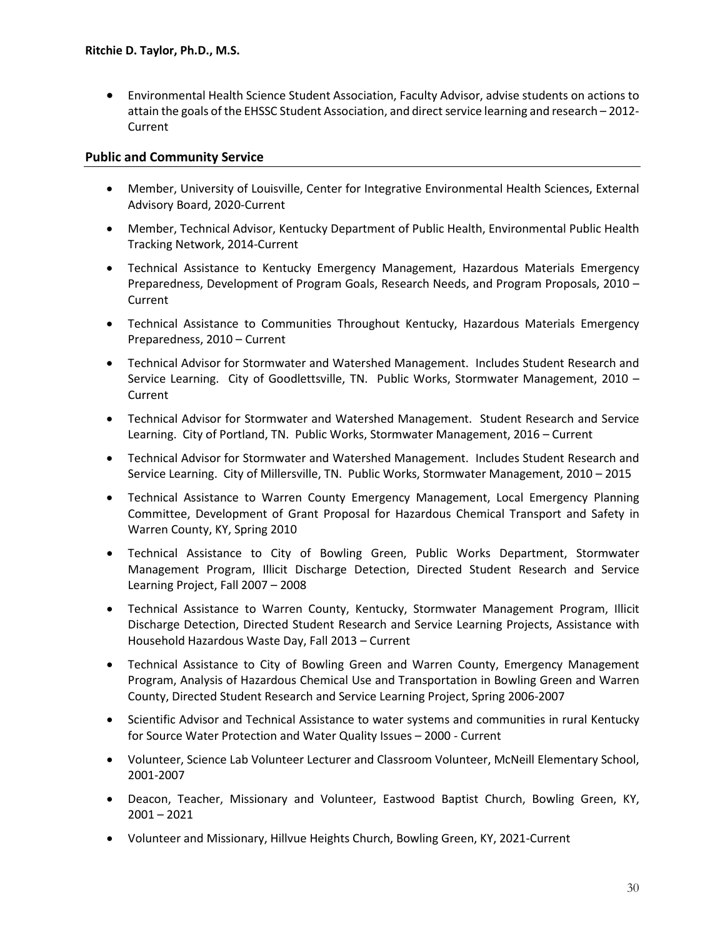• Environmental Health Science Student Association, Faculty Advisor, advise students on actions to attain the goals of the EHSSC Student Association, and direct service learning and research – 2012- Current

#### **Public and Community Service**

- Member, University of Louisville, Center for Integrative Environmental Health Sciences, External Advisory Board, 2020-Current
- Member, Technical Advisor, Kentucky Department of Public Health, Environmental Public Health Tracking Network, 2014-Current
- Technical Assistance to Kentucky Emergency Management, Hazardous Materials Emergency Preparedness, Development of Program Goals, Research Needs, and Program Proposals, 2010 – Current
- Technical Assistance to Communities Throughout Kentucky, Hazardous Materials Emergency Preparedness, 2010 – Current
- Technical Advisor for Stormwater and Watershed Management. Includes Student Research and Service Learning. City of Goodlettsville, TN. Public Works, Stormwater Management, 2010 – Current
- Technical Advisor for Stormwater and Watershed Management. Student Research and Service Learning. City of Portland, TN. Public Works, Stormwater Management, 2016 – Current
- Technical Advisor for Stormwater and Watershed Management. Includes Student Research and Service Learning. City of Millersville, TN. Public Works, Stormwater Management, 2010 – 2015
- Technical Assistance to Warren County Emergency Management, Local Emergency Planning Committee, Development of Grant Proposal for Hazardous Chemical Transport and Safety in Warren County, KY, Spring 2010
- Technical Assistance to City of Bowling Green, Public Works Department, Stormwater Management Program, Illicit Discharge Detection, Directed Student Research and Service Learning Project, Fall 2007 – 2008
- Technical Assistance to Warren County, Kentucky, Stormwater Management Program, Illicit Discharge Detection, Directed Student Research and Service Learning Projects, Assistance with Household Hazardous Waste Day, Fall 2013 – Current
- Technical Assistance to City of Bowling Green and Warren County, Emergency Management Program, Analysis of Hazardous Chemical Use and Transportation in Bowling Green and Warren County, Directed Student Research and Service Learning Project, Spring 2006-2007
- Scientific Advisor and Technical Assistance to water systems and communities in rural Kentucky for Source Water Protection and Water Quality Issues – 2000 - Current
- Volunteer, Science Lab Volunteer Lecturer and Classroom Volunteer, McNeill Elementary School, 2001-2007
- Deacon, Teacher, Missionary and Volunteer, Eastwood Baptist Church, Bowling Green, KY, 2001 – 2021
- Volunteer and Missionary, Hillvue Heights Church, Bowling Green, KY, 2021-Current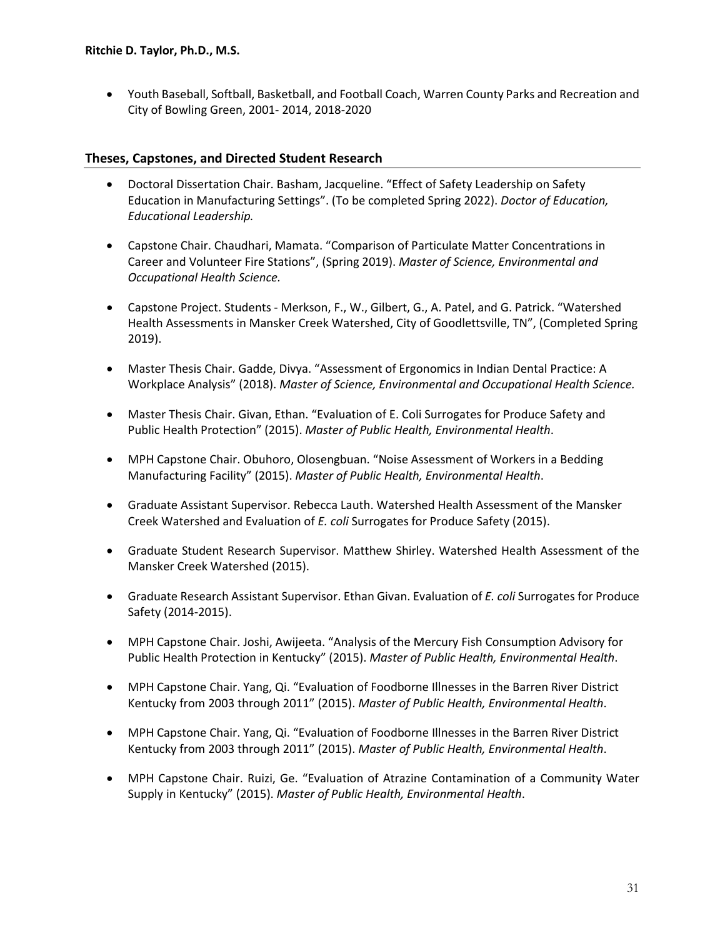• Youth Baseball, Softball, Basketball, and Football Coach, Warren County Parks and Recreation and City of Bowling Green, 2001- 2014, 2018-2020

#### **Theses, Capstones, and Directed Student Research**

- Doctoral Dissertation Chair. Basham, Jacqueline. "Effect of Safety Leadership on Safety Education in Manufacturing Settings". (To be completed Spring 2022). *Doctor of Education, Educational Leadership.*
- Capstone Chair. Chaudhari, Mamata. "Comparison of Particulate Matter Concentrations in Career and Volunteer Fire Stations", (Spring 2019). *Master of Science, Environmental and Occupational Health Science.*
- Capstone Project. Students Merkson, F., W., Gilbert, G., A. Patel, and G. Patrick. "Watershed Health Assessments in Mansker Creek Watershed, City of Goodlettsville, TN", (Completed Spring 2019).
- Master Thesis Chair. Gadde, Divya. "Assessment of Ergonomics in Indian Dental Practice: A Workplace Analysis" (2018). *Master of Science, Environmental and Occupational Health Science.*
- Master Thesis Chair. Givan, Ethan. "Evaluation of E. Coli Surrogates for Produce Safety and Public Health Protection" (2015). *Master of Public Health, Environmental Health*.
- MPH Capstone Chair. Obuhoro, Olosengbuan. "Noise Assessment of Workers in a Bedding Manufacturing Facility" (2015). *Master of Public Health, Environmental Health*.
- Graduate Assistant Supervisor. Rebecca Lauth. Watershed Health Assessment of the Mansker Creek Watershed and Evaluation of *E. coli* Surrogates for Produce Safety (2015).
- Graduate Student Research Supervisor. Matthew Shirley. Watershed Health Assessment of the Mansker Creek Watershed (2015).
- Graduate Research Assistant Supervisor. Ethan Givan. Evaluation of *E. coli* Surrogates for Produce Safety (2014-2015).
- MPH Capstone Chair. Joshi, Awijeeta. "Analysis of the Mercury Fish Consumption Advisory for Public Health Protection in Kentucky" (2015). *Master of Public Health, Environmental Health*.
- MPH Capstone Chair. Yang, Qi. "Evaluation of Foodborne Illnesses in the Barren River District Kentucky from 2003 through 2011" (2015). *Master of Public Health, Environmental Health*.
- MPH Capstone Chair. Yang, Qi. "Evaluation of Foodborne Illnesses in the Barren River District Kentucky from 2003 through 2011" (2015). *Master of Public Health, Environmental Health*.
- MPH Capstone Chair. Ruizi, Ge. "Evaluation of Atrazine Contamination of a Community Water Supply in Kentucky" (2015). *Master of Public Health, Environmental Health*.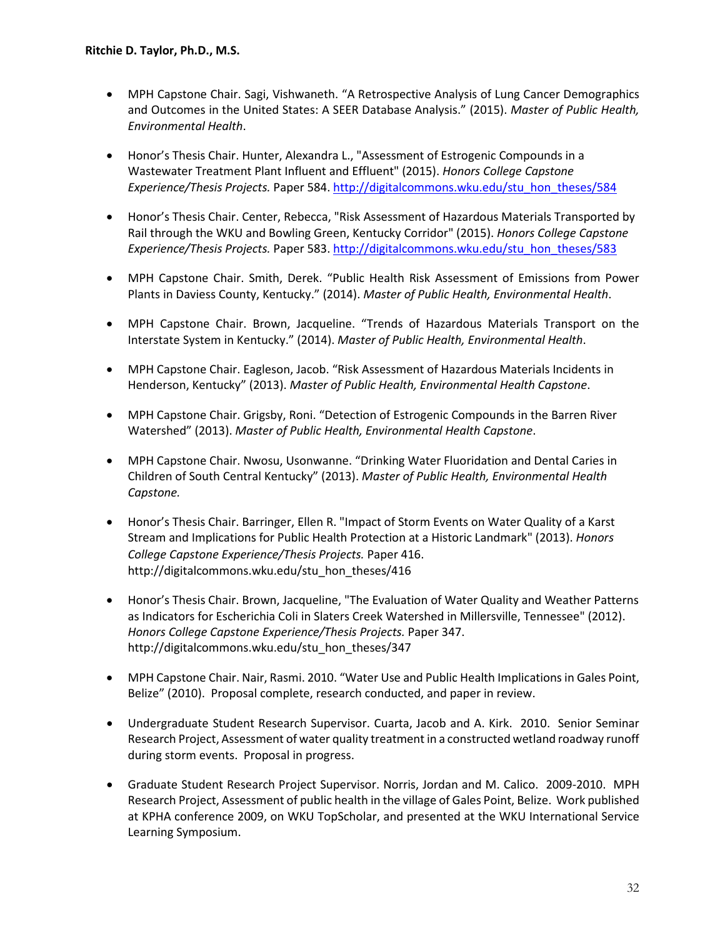- MPH Capstone Chair. Sagi, Vishwaneth. "A Retrospective Analysis of Lung Cancer Demographics and Outcomes in the United States: A SEER Database Analysis." (2015). *Master of Public Health, Environmental Health*.
- Honor's Thesis Chair. Hunter, Alexandra L., "Assessment of Estrogenic Compounds in a Wastewater Treatment Plant Influent and Effluent" (2015). *Honors College Capstone Experience/Thesis Projects.* Paper 584. [http://digitalcommons.wku.edu/stu\\_hon\\_theses/584](http://digitalcommons.wku.edu/stu_hon_theses/584)
- Honor's Thesis Chair. Center, Rebecca, "Risk Assessment of Hazardous Materials Transported by Rail through the WKU and Bowling Green, Kentucky Corridor" (2015). *Honors College Capstone Experience/Thesis Projects.* Paper 583. [http://digitalcommons.wku.edu/stu\\_hon\\_theses/583](http://digitalcommons.wku.edu/stu_hon_theses/583)
- MPH Capstone Chair. Smith, Derek. "Public Health Risk Assessment of Emissions from Power Plants in Daviess County, Kentucky." (2014). *Master of Public Health, Environmental Health*.
- MPH Capstone Chair. Brown, Jacqueline. "Trends of Hazardous Materials Transport on the Interstate System in Kentucky." (2014). *Master of Public Health, Environmental Health*.
- MPH Capstone Chair. Eagleson, Jacob. "Risk Assessment of Hazardous Materials Incidents in Henderson, Kentucky" (2013). *Master of Public Health, Environmental Health Capstone*.
- MPH Capstone Chair. Grigsby, Roni. "Detection of Estrogenic Compounds in the Barren River Watershed" (2013). *Master of Public Health, Environmental Health Capstone*.
- MPH Capstone Chair. Nwosu, Usonwanne. "Drinking Water Fluoridation and Dental Caries in Children of South Central Kentucky" (2013). *Master of Public Health, Environmental Health Capstone.*
- Honor's Thesis Chair. Barringer, Ellen R. "Impact of Storm Events on Water Quality of a Karst Stream and Implications for Public Health Protection at a Historic Landmark" (2013). *Honors College Capstone Experience/Thesis Projects.* Paper 416. http://digitalcommons.wku.edu/stu\_hon\_theses/416
- Honor's Thesis Chair. Brown, Jacqueline, "The Evaluation of Water Quality and Weather Patterns as Indicators for Escherichia Coli in Slaters Creek Watershed in Millersville, Tennessee" (2012). *Honors College Capstone Experience/Thesis Projects.* Paper 347. http://digitalcommons.wku.edu/stu\_hon\_theses/347
- MPH Capstone Chair. Nair, Rasmi. 2010. "Water Use and Public Health Implications in Gales Point, Belize" (2010). Proposal complete, research conducted, and paper in review.
- Undergraduate Student Research Supervisor. Cuarta, Jacob and A. Kirk. 2010. Senior Seminar Research Project, Assessment of water quality treatment in a constructed wetland roadway runoff during storm events. Proposal in progress.
- Graduate Student Research Project Supervisor. Norris, Jordan and M. Calico. 2009-2010. MPH Research Project, Assessment of public health in the village of Gales Point, Belize. Work published at KPHA conference 2009, on WKU TopScholar, and presented at the WKU International Service Learning Symposium.